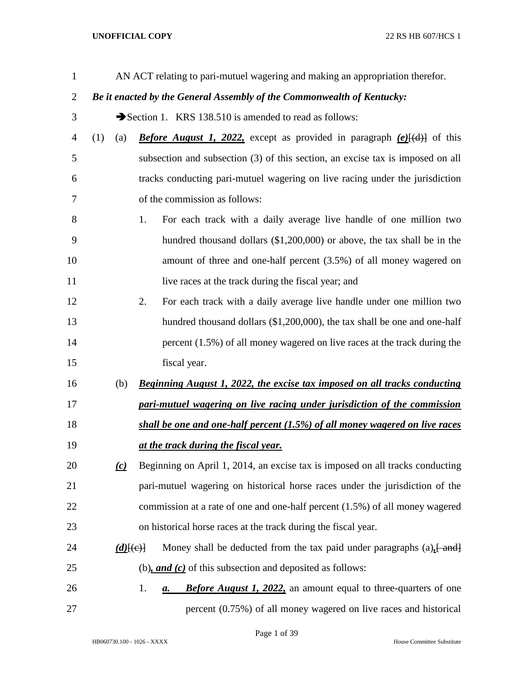| $\mathbf{1}$   |                   |             | AN ACT relating to pari-mutuel wagering and making an appropriation therefor.                      |
|----------------|-------------------|-------------|----------------------------------------------------------------------------------------------------|
| $\overline{2}$ |                   |             | Be it enacted by the General Assembly of the Commonwealth of Kentucky:                             |
| 3              |                   |             | Section 1. KRS 138.510 is amended to read as follows:                                              |
| 4              | (1)<br>(a)        |             | <b>Before August 1, 2022,</b> except as provided in paragraph $(e)$ $(e)$ of this                  |
| 5              |                   |             | subsection and subsection (3) of this section, an excise tax is imposed on all                     |
| 6              |                   |             | tracks conducting pari-mutuel wagering on live racing under the jurisdiction                       |
| 7              |                   |             | of the commission as follows:                                                                      |
| 8              |                   | 1.          | For each track with a daily average live handle of one million two                                 |
| 9              |                   |             | hundred thousand dollars $(\$1,200,000)$ or above, the tax shall be in the                         |
| 10             |                   |             | amount of three and one-half percent $(3.5%)$ of all money wagered on                              |
| 11             |                   |             | live races at the track during the fiscal year; and                                                |
| 12             |                   | 2.          | For each track with a daily average live handle under one million two                              |
| 13             |                   |             | hundred thousand dollars (\$1,200,000), the tax shall be one and one-half                          |
| 14             |                   |             | percent $(1.5\%)$ of all money wagered on live races at the track during the                       |
| 15             |                   |             | fiscal year.                                                                                       |
| 16             | (b)               |             | <b>Beginning August 1, 2022, the excise tax imposed on all tracks conducting</b>                   |
| 17             |                   |             | pari-mutuel wagering on live racing under jurisdiction of the commission                           |
| 18             |                   |             | shall be one and one-half percent (1.5%) of all money wagered on live races                        |
| 19             |                   |             | <u>at the track during the fiscal year.</u>                                                        |
| 20             | $\underline{(c)}$ |             | Beginning on April 1, 2014, an excise tax is imposed on all tracks conducting                      |
| 21             |                   |             | pari-mutuel wagering on historical horse races under the jurisdiction of the                       |
| 22             |                   |             | commission at a rate of one and one-half percent (1.5%) of all money wagered                       |
| 23             |                   |             | on historical horse races at the track during the fiscal year.                                     |
| 24             |                   | $(d)$ [(e)] | Money shall be deducted from the tax paid under paragraphs $(a)$ , $\frac{1}{2}$ and $\frac{1}{2}$ |
| 25             |                   |             | (b), and $(c)$ of this subsection and deposited as follows:                                        |
| 26             |                   | 1.          | <b>Before August 1, 2022,</b> an amount equal to three-quarters of one<br>а.                       |
| 27             |                   |             | percent (0.75%) of all money wagered on live races and historical                                  |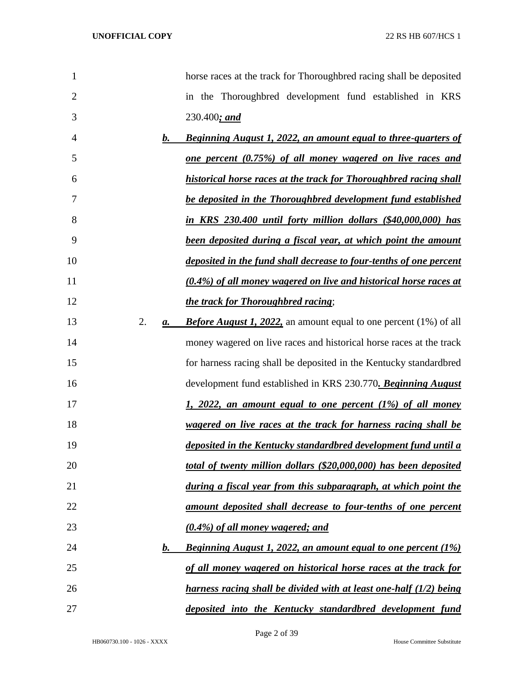| 1                   | horse races at the track for Thoroughbred racing shall be deposited          |
|---------------------|------------------------------------------------------------------------------|
| $\overline{2}$      | in the Thoroughbred development fund established in KRS                      |
| 3                   | $230.400;$ and                                                               |
| $\mathbf{b}$ .<br>4 | <u><b>Beginning August 1, 2022, an amount equal to three-quarters of</b></u> |
| 5                   | <u>one percent (0.75%) of all money wagered on live races and</u>            |
| 6                   | historical horse races at the track for Thoroughbred racing shall            |
| 7                   | be deposited in the Thoroughbred development fund established                |
| 8                   | in KRS 230.400 until forty million dollars (\$40,000,000) has                |
| 9                   | been deposited during a fiscal year, at which point the amount               |
| 10                  | deposited in the fund shall decrease to four-tenths of one percent           |
| 11                  | (0.4%) of all money wagered on live and historical horse races at            |
| 12                  | the track for Thoroughbred racing;                                           |
| 2.<br>13<br>a.      | <b>Before August 1, 2022,</b> an amount equal to one percent (1%) of all     |
| 14                  | money wagered on live races and historical horse races at the track          |
| 15                  | for harness racing shall be deposited in the Kentucky standardbred           |
| 16                  | development fund established in KRS 230.770. Beginning August                |
| 17                  | <u>1, 2022, an amount equal to one percent (1%) of all money</u>             |
| 18                  | <u>wagered on live races at the track for harness racing shall be</u>        |
| 19                  | deposited in the Kentucky standardbred development fund until a              |
| 20                  | total of twenty million dollars (\$20,000,000) has been deposited            |
| 21                  | during a fiscal year from this subparagraph, at which point the              |
| 22                  | <u>amount deposited shall decrease to four-tenths of one percent</u>         |
| 23                  | <u>(0.4%) of all money wagered; and</u>                                      |
| 24<br>$\bm{b}$ .    | <b>Beginning August 1, 2022, an amount equal to one percent (1%)</b>         |
| 25                  | of all money wagered on historical horse races at the track for              |
| 26                  | <u>harness racing shall be divided with at least one-half (1/2) being</u>    |
| 27                  | deposited into the Kentucky standardbred development fund                    |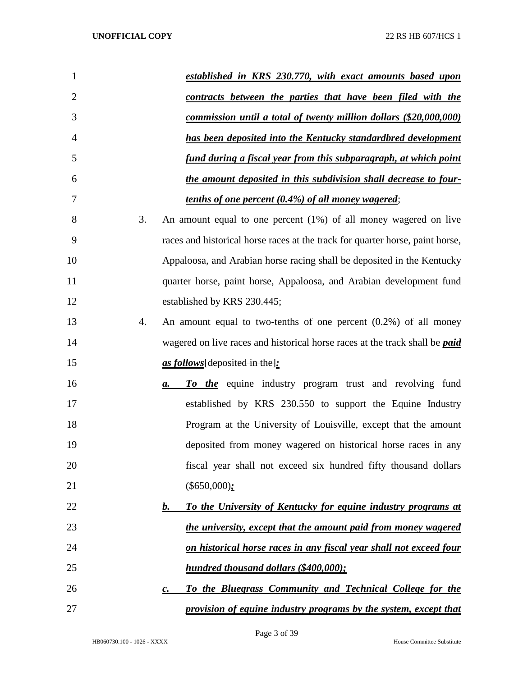| $\mathbf{1}$   |    | established in KRS 230.770, with exact amounts based upon                          |
|----------------|----|------------------------------------------------------------------------------------|
| $\overline{2}$ |    | contracts between the parties that have been filed with the                        |
| 3              |    | commission until a total of twenty million dollars (\$20,000,000)                  |
| 4              |    | has been deposited into the Kentucky standardbred development                      |
| 5              |    | fund during a fiscal year from this subparagraph, at which point                   |
| 6              |    | the amount deposited in this subdivision shall decrease to four-                   |
| 7              |    | <u>tenths of one percent (0.4%) of all money wagered;</u>                          |
| 8              | 3. | An amount equal to one percent $(1%)$ of all money wagered on live                 |
| 9              |    | races and historical horse races at the track for quarter horse, paint horse,      |
| 10             |    | Appaloosa, and Arabian horse racing shall be deposited in the Kentucky             |
| 11             |    | quarter horse, paint horse, Appaloosa, and Arabian development fund                |
| 12             |    | established by KRS 230.445;                                                        |
| 13             | 4. | An amount equal to two-tenths of one percent $(0.2%)$ of all money                 |
| 14             |    | wagered on live races and historical horse races at the track shall be <i>paid</i> |
| 15             |    | as follows [deposited in the]:                                                     |
| 16             |    | To the equine industry program trust and revolving fund<br>a.                      |
| 17             |    | established by KRS 230.550 to support the Equine Industry                          |
| 18             |    | Program at the University of Louisville, except that the amount                    |
| 19             |    | deposited from money wagered on historical horse races in any                      |
| 20             |    | fiscal year shall not exceed six hundred fifty thousand dollars                    |
| 21             |    | $(\$650,000);$                                                                     |
| 22             |    | To the University of Kentucky for equine industry programs at<br>b.                |
| 23             |    | the university, except that the amount paid from money wagered                     |
| 24             |    | on historical horse races in any fiscal year shall not exceed four                 |
| 25             |    | hundred thousand dollars (\$400,000);                                              |
| 26             |    | To the Bluegrass Community and Technical College for the<br>$\boldsymbol{c}$ .     |
| 27             |    | provision of equine industry programs by the system, except that                   |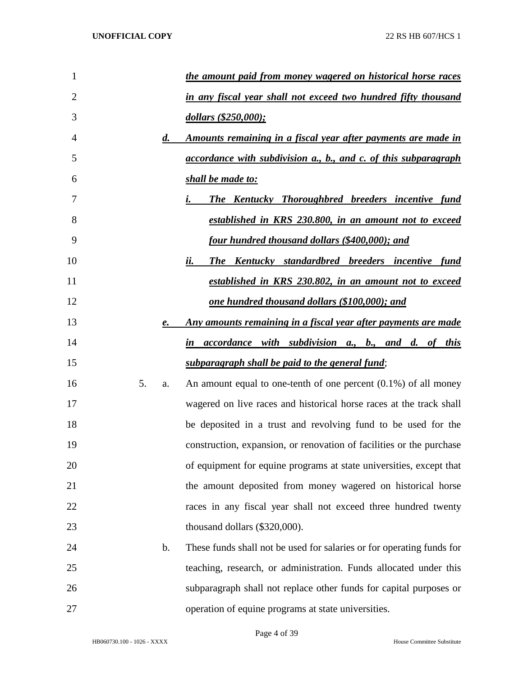| $\mathbf{1}$   |    |                    | the amount paid from money wagered on historical horse races          |
|----------------|----|--------------------|-----------------------------------------------------------------------|
| $\overline{2}$ |    |                    | in any fiscal year shall not exceed two hundred fifty thousand        |
| 3              |    |                    | dollars (\$250,000);                                                  |
| 4              |    | $\boldsymbol{d}$ . | <u>Amounts remaining in a fiscal year after payments are made in</u>  |
| 5              |    |                    | accordance with subdivision a., b., and c. of this subparagraph       |
| 6              |    |                    | shall be made to:                                                     |
| 7              |    |                    | The Kentucky Thoroughbred breeders incentive fund<br>$i_{-}$          |
| 8              |    |                    | established in KRS 230.800, in an amount not to exceed                |
| 9              |    |                    | <u>four hundred thousand dollars (\$400,000); and</u>                 |
| 10             |    |                    | <b>The Kentucky standardbred breeders incentive fund</b><br>ii.       |
| 11             |    |                    | established in KRS 230.802, in an amount not to exceed                |
| 12             |    |                    | <u>one hundred thousand dollars (\$100,000); and</u>                  |
| 13             |    | e.                 | Any amounts remaining in a fiscal year after payments are made        |
| 14             |    |                    | in accordance with subdivision a., b., and d. of this                 |
| 15             |    |                    | subparagraph shall be paid to the general fund;                       |
| 16             | 5. | a.                 | An amount equal to one-tenth of one percent $(0.1\%)$ of all money    |
| 17             |    |                    | wagered on live races and historical horse races at the track shall   |
| 18             |    |                    | be deposited in a trust and revolving fund to be used for the         |
| 19             |    |                    | construction, expansion, or renovation of facilities or the purchase  |
| 20             |    |                    | of equipment for equine programs at state universities, except that   |
| 21             |    |                    | the amount deposited from money wagered on historical horse           |
| 22             |    |                    | races in any fiscal year shall not exceed three hundred twenty        |
| 23             |    |                    | thousand dollars (\$320,000).                                         |
| 24             |    | $\mathbf b$ .      | These funds shall not be used for salaries or for operating funds for |
| 25             |    |                    | teaching, research, or administration. Funds allocated under this     |
| 26             |    |                    | subparagraph shall not replace other funds for capital purposes or    |
| 27             |    |                    | operation of equine programs at state universities.                   |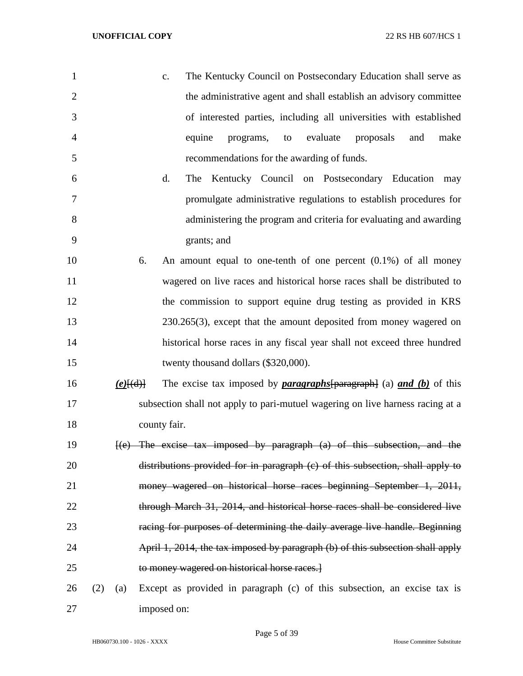| 1              |     |                   |              | $C_{\bullet}$ | The Kentucky Council on Postsecondary Education shall serve as                                          |    |          |           |     |      |
|----------------|-----|-------------------|--------------|---------------|---------------------------------------------------------------------------------------------------------|----|----------|-----------|-----|------|
| $\overline{2}$ |     |                   |              |               | the administrative agent and shall establish an advisory committee                                      |    |          |           |     |      |
| 3              |     |                   |              |               | of interested parties, including all universities with established                                      |    |          |           |     |      |
| 4              |     |                   |              | equine        | programs,                                                                                               | to | evaluate | proposals | and | make |
| 5              |     |                   |              |               | recommendations for the awarding of funds.                                                              |    |          |           |     |      |
| 6              |     |                   |              | d.<br>The     | Kentucky Council on Postsecondary Education may                                                         |    |          |           |     |      |
| 7              |     |                   |              |               | promulgate administrative regulations to establish procedures for                                       |    |          |           |     |      |
| 8              |     |                   |              |               | administering the program and criteria for evaluating and awarding                                      |    |          |           |     |      |
| 9              |     |                   |              | grants; and   |                                                                                                         |    |          |           |     |      |
| 10             |     |                   | 6.           |               | An amount equal to one-tenth of one percent $(0.1\%)$ of all money                                      |    |          |           |     |      |
| 11             |     |                   |              |               | wagered on live races and historical horse races shall be distributed to                                |    |          |           |     |      |
| 12             |     |                   |              |               | the commission to support equine drug testing as provided in KRS                                        |    |          |           |     |      |
| 13             |     |                   |              |               | $230.265(3)$ , except that the amount deposited from money wagered on                                   |    |          |           |     |      |
| 14             |     |                   |              |               | historical horse races in any fiscal year shall not exceed three hundred                                |    |          |           |     |      |
| 15             |     |                   |              |               | twenty thousand dollars (\$320,000).                                                                    |    |          |           |     |      |
| 16             |     | $(e)$ $\{ (d) \}$ |              |               | The excise tax imposed by <b>paragraphs</b> $\left[\text{parameters}\right]$ (a) <b>and (b)</b> of this |    |          |           |     |      |
| 17             |     |                   |              |               | subsection shall not apply to pari-mutuel wagering on live harness racing at a                          |    |          |           |     |      |
| 18             |     |                   | county fair. |               |                                                                                                         |    |          |           |     |      |
| 19             |     |                   |              |               | $[(e)$ The excise tax imposed by paragraph $(a)$ of this subsection, and the                            |    |          |           |     |      |
| 20             |     |                   |              |               | distributions provided for in paragraph (c) of this subsection, shall apply to                          |    |          |           |     |      |
| 21             |     |                   |              |               | money wagered on historical horse races beginning September 1, 2011,                                    |    |          |           |     |      |
| 22             |     |                   |              |               | through March 31, 2014, and historical horse races shall be considered live                             |    |          |           |     |      |
| 23             |     |                   |              |               | racing for purposes of determining the daily average live handle. Beginning                             |    |          |           |     |      |
| 24             |     |                   |              |               | April 1, 2014, the tax imposed by paragraph (b) of this subsection shall apply                          |    |          |           |     |      |
| 25             |     |                   |              |               | to money wagered on historical horse races.                                                             |    |          |           |     |      |
| 26             | (2) | (a)               |              |               | Except as provided in paragraph (c) of this subsection, an excise tax is                                |    |          |           |     |      |
| 27             |     |                   | imposed on:  |               |                                                                                                         |    |          |           |     |      |

Page 5 of 39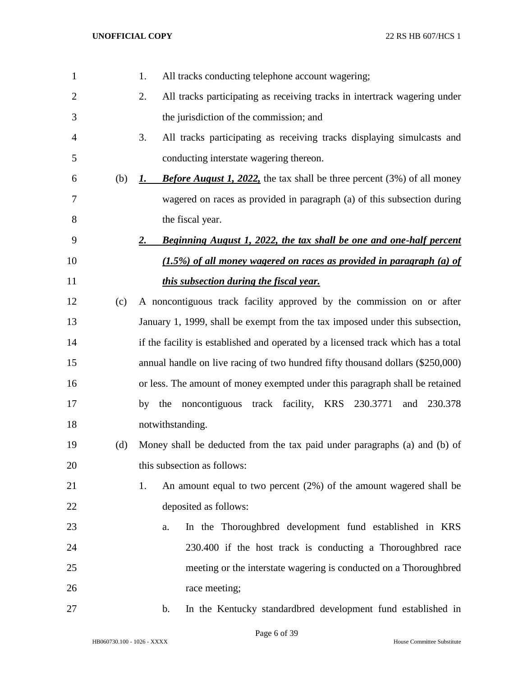| $\mathbf{1}$ |     | All tracks conducting telephone account wagering;<br>1.                                       |
|--------------|-----|-----------------------------------------------------------------------------------------------|
| 2            |     | All tracks participating as receiving tracks in intertrack wagering under<br>2.               |
| 3            |     | the jurisdiction of the commission; and                                                       |
| 4            |     | All tracks participating as receiving tracks displaying simulcasts and<br>3.                  |
| 5            |     | conducting interstate wagering thereon.                                                       |
| 6            | (b) | <b>Before August 1, 2022,</b> the tax shall be three percent $(3%)$ of all money<br><u>1.</u> |
| 7            |     | wagered on races as provided in paragraph (a) of this subsection during                       |
| 8            |     | the fiscal year.                                                                              |
| 9            |     | Beginning August 1, 2022, the tax shall be one and one-half percent<br>2.                     |
| 10           |     | $(1.5\%)$ of all money wagered on races as provided in paragraph (a) of                       |
| 11           |     | this subsection during the fiscal year.                                                       |
| 12           | (c) | A noncontiguous track facility approved by the commission on or after                         |
| 13           |     | January 1, 1999, shall be exempt from the tax imposed under this subsection,                  |
| 14           |     | if the facility is established and operated by a licensed track which has a total             |
| 15           |     | annual handle on live racing of two hundred fifty thousand dollars (\$250,000)                |
| 16           |     | or less. The amount of money exempted under this paragraph shall be retained                  |
| 17           |     | by the noncontiguous track facility, KRS 230.3771<br>and<br>230.378                           |
| 18           |     | notwithstanding.                                                                              |
| 19           | (d) | Money shall be deducted from the tax paid under paragraphs (a) and (b) of                     |
| 20           |     | this subsection as follows:                                                                   |
| 21           |     | An amount equal to two percent $(2%)$ of the amount wagered shall be<br>1.                    |
| 22           |     | deposited as follows:                                                                         |
| 23           |     | In the Thoroughbred development fund established in KRS<br>a.                                 |
| 24           |     | 230.400 if the host track is conducting a Thoroughbred race                                   |
| 25           |     | meeting or the interstate wagering is conducted on a Thoroughbred                             |
| 26           |     | race meeting;                                                                                 |
| 27           |     | In the Kentucky standardbred development fund established in<br>$\mathbf{b}$ .                |

Page 6 of 39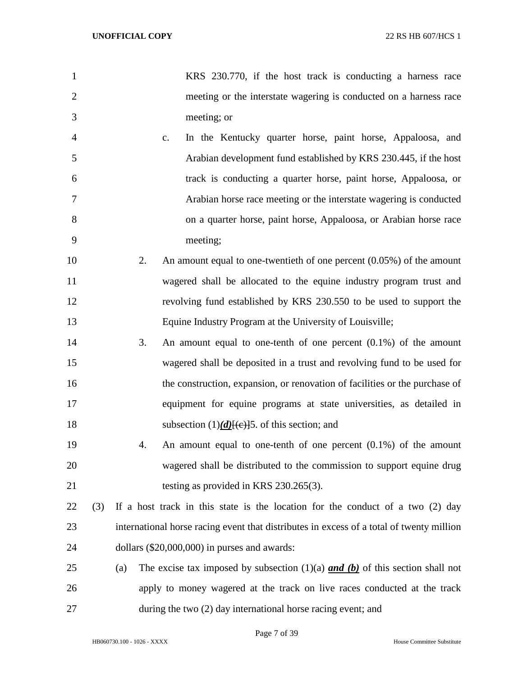| $\mathbf{1}$   |     |     | KRS 230.770, if the host track is conducting a harness race                              |
|----------------|-----|-----|------------------------------------------------------------------------------------------|
| $\overline{2}$ |     |     | meeting or the interstate wagering is conducted on a harness race                        |
| 3              |     |     | meeting; or                                                                              |
| $\overline{4}$ |     | c.  | In the Kentucky quarter horse, paint horse, Appaloosa, and                               |
| 5              |     |     | Arabian development fund established by KRS 230.445, if the host                         |
| 6              |     |     | track is conducting a quarter horse, paint horse, Appaloosa, or                          |
| 7              |     |     | Arabian horse race meeting or the interstate wagering is conducted                       |
| 8              |     |     | on a quarter horse, paint horse, Appaloosa, or Arabian horse race                        |
| 9              |     |     | meeting;                                                                                 |
| 10             |     | 2.  | An amount equal to one-twentieth of one percent $(0.05\%)$ of the amount                 |
| 11             |     |     | wagered shall be allocated to the equine industry program trust and                      |
| 12             |     |     | revolving fund established by KRS 230.550 to be used to support the                      |
| 13             |     |     | Equine Industry Program at the University of Louisville;                                 |
| 14             |     | 3.  | An amount equal to one-tenth of one percent $(0.1\%)$ of the amount                      |
| 15             |     |     | wagered shall be deposited in a trust and revolving fund to be used for                  |
| 16             |     |     | the construction, expansion, or renovation of facilities or the purchase of              |
| 17             |     |     | equipment for equine programs at state universities, as detailed in                      |
| 18             |     |     | subsection $(1)$ (d)[(e)]5. of this section; and                                         |
| 19             |     | 4.  | An amount equal to one-tenth of one percent $(0.1\%)$ of the amount                      |
| 20             |     |     | wagered shall be distributed to the commission to support equine drug                    |
| 21             |     |     | testing as provided in KRS 230.265(3).                                                   |
| 22             | (3) |     | If a host track in this state is the location for the conduct of a two (2) day           |
| 23             |     |     | international horse racing event that distributes in excess of a total of twenty million |
| 24             |     |     | dollars $(\$20,000,000)$ in purses and awards:                                           |
| 25             |     | (a) | The excise tax imposed by subsection $(1)(a)$ and $(b)$ of this section shall not        |
| 26             |     |     | apply to money wagered at the track on live races conducted at the track                 |
| 27             |     |     | during the two (2) day international horse racing event; and                             |

Page 7 of 39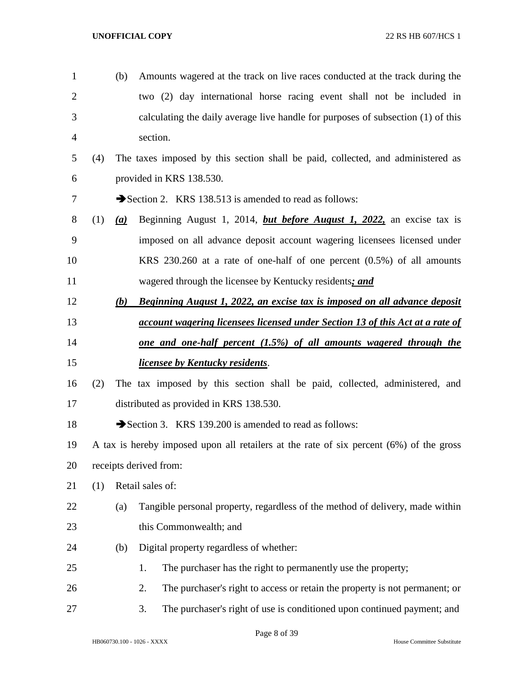| $\mathbf{1}$   |     | (b) | Amounts wagered at the track on live races conducted at the track during the            |
|----------------|-----|-----|-----------------------------------------------------------------------------------------|
| $\overline{2}$ |     |     | two (2) day international horse racing event shall not be included in                   |
| 3              |     |     | calculating the daily average live handle for purposes of subsection (1) of this        |
| $\overline{4}$ |     |     | section.                                                                                |
| 5              | (4) |     | The taxes imposed by this section shall be paid, collected, and administered as         |
| 6              |     |     | provided in KRS 138.530.                                                                |
| 7              |     |     | Section 2. KRS 138.513 is amended to read as follows:                                   |
| $8\,$          | (1) | (a) | Beginning August 1, 2014, <i>but before August 1</i> , 2022, an excise tax is           |
| 9              |     |     | imposed on all advance deposit account wagering licensees licensed under                |
| 10             |     |     | KRS $230.260$ at a rate of one-half of one percent $(0.5%)$ of all amounts              |
| 11             |     |     | wagered through the licensee by Kentucky residents; and                                 |
| 12             |     | (b) | Beginning August 1, 2022, an excise tax is imposed on all advance deposit               |
| 13             |     |     | <i>account wagering licensees licensed under Section 13 of this Act at a rate of</i>    |
| 14             |     |     | <u>one and one-half percent (1.5%) of all amounts wagered through the</u>               |
| 15             |     |     | <i>licensee by Kentucky residents.</i>                                                  |
| 16             | (2) |     | The tax imposed by this section shall be paid, collected, administered, and             |
| 17             |     |     | distributed as provided in KRS 138.530.                                                 |
| 18             |     |     | Section 3. KRS 139.200 is amended to read as follows:                                   |
| 19             |     |     | A tax is hereby imposed upon all retailers at the rate of six percent (6%) of the gross |
| 20             |     |     | receipts derived from:                                                                  |
| 21             | (1) |     | Retail sales of:                                                                        |
| 22             |     | (a) | Tangible personal property, regardless of the method of delivery, made within           |
| 23             |     |     | this Commonwealth; and                                                                  |
| 24             |     | (b) | Digital property regardless of whether:                                                 |
| 25             |     |     | The purchaser has the right to permanently use the property;<br>1.                      |
| 26             |     |     | The purchaser's right to access or retain the property is not permanent; or<br>2.       |
| 27             |     |     | The purchaser's right of use is conditioned upon continued payment; and<br>3.           |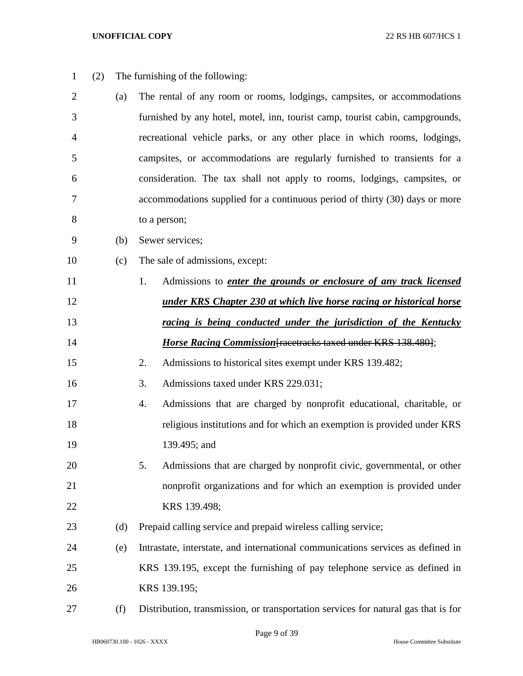| $\mathbf{1}$   | (2) |     | The furnishing of the following:                                                   |
|----------------|-----|-----|------------------------------------------------------------------------------------|
| $\overline{2}$ |     | (a) | The rental of any room or rooms, lodgings, campsites, or accommodations            |
| 3              |     |     | furnished by any hotel, motel, inn, tourist camp, tourist cabin, campgrounds,      |
| 4              |     |     | recreational vehicle parks, or any other place in which rooms, lodgings,           |
| 5              |     |     | campsites, or accommodations are regularly furnished to transients for a           |
| 6              |     |     | consideration. The tax shall not apply to rooms, lodgings, campsites, or           |
| 7              |     |     | accommodations supplied for a continuous period of thirty (30) days or more        |
| 8              |     |     | to a person;                                                                       |
| 9              |     | (b) | Sewer services;                                                                    |
| 10             |     | (c) | The sale of admissions, except:                                                    |
| 11             |     |     | Admissions to <i>enter the grounds or enclosure of any track licensed</i><br>1.    |
| 12             |     |     | <u>under KRS Chapter 230 at which live horse racing or historical horse</u>        |
| 13             |     |     | racing is being conducted under the jurisdiction of the Kentucky                   |
| 14             |     |     | <b>Horse Racing Commission</b> [racetracks taxed under KRS 138.480];               |
| 15             |     |     | 2.<br>Admissions to historical sites exempt under KRS 139.482;                     |
| 16             |     |     | 3.<br>Admissions taxed under KRS 229.031;                                          |
| 17             |     |     | Admissions that are charged by nonprofit educational, charitable, or<br>4.         |
| 18             |     |     | religious institutions and for which an exemption is provided under KRS            |
| 19             |     |     | 139.495; and                                                                       |
| 20             |     |     | Admissions that are charged by nonprofit civic, governmental, or other<br>5.       |
| 21             |     |     | nonprofit organizations and for which an exemption is provided under               |
| 22             |     |     | KRS 139.498;                                                                       |
| 23             |     | (d) | Prepaid calling service and prepaid wireless calling service;                      |
| 24             |     | (e) | Intrastate, interstate, and international communications services as defined in    |
| 25             |     |     | KRS 139.195, except the furnishing of pay telephone service as defined in          |
| 26             |     |     | KRS 139.195;                                                                       |
| 27             |     | (f) | Distribution, transmission, or transportation services for natural gas that is for |

HB060730.100 - 1026 - XXXX House Committee Substitute

Page 9 of 39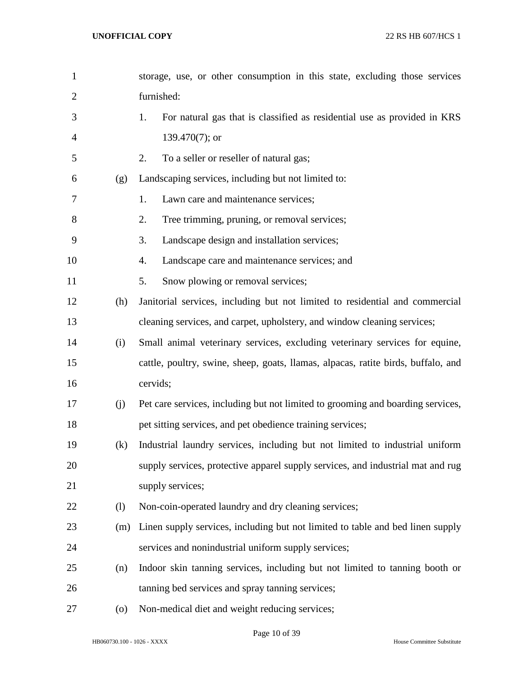| $\mathbf{1}$   |     | storage, use, or other consumption in this state, excluding those services        |
|----------------|-----|-----------------------------------------------------------------------------------|
| $\overline{2}$ |     | furnished:                                                                        |
| 3              |     | For natural gas that is classified as residential use as provided in KRS<br>1.    |
| 4              |     | 139.470 $(7)$ ; or                                                                |
| 5              |     | To a seller or reseller of natural gas;<br>2.                                     |
| 6              | (g) | Landscaping services, including but not limited to:                               |
| 7              |     | Lawn care and maintenance services;<br>1.                                         |
| 8              |     | Tree trimming, pruning, or removal services;<br>2.                                |
| 9              |     | Landscape design and installation services;<br>3.                                 |
| 10             |     | Landscape care and maintenance services; and<br>4.                                |
| 11             |     | 5.<br>Snow plowing or removal services;                                           |
| 12             | (h) | Janitorial services, including but not limited to residential and commercial      |
| 13             |     | cleaning services, and carpet, upholstery, and window cleaning services;          |
| 14             | (i) | Small animal veterinary services, excluding veterinary services for equine,       |
| 15             |     | cattle, poultry, swine, sheep, goats, llamas, alpacas, ratite birds, buffalo, and |
| 16             |     | cervids;                                                                          |
| 17             | (j) | Pet care services, including but not limited to grooming and boarding services,   |
| 18             |     | pet sitting services, and pet obedience training services;                        |
| 19             | (k) | Industrial laundry services, including but not limited to industrial uniform      |
| 20             |     | supply services, protective apparel supply services, and industrial mat and rug   |
| 21             |     | supply services;                                                                  |
| 22             | (1) | Non-coin-operated laundry and dry cleaning services;                              |
| 23             | (m) | Linen supply services, including but not limited to table and bed linen supply    |
| 24             |     | services and nonindustrial uniform supply services;                               |
| 25             | (n) | Indoor skin tanning services, including but not limited to tanning booth or       |
| 26             |     | tanning bed services and spray tanning services;                                  |
| $27\,$         | (0) | Non-medical diet and weight reducing services;                                    |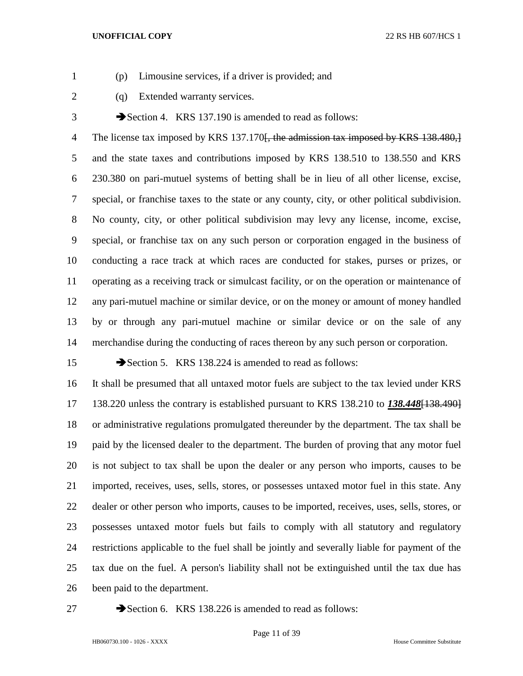- 
- (p) Limousine services, if a driver is provided; and
- 
- 2 (q) Extended warranty services.

3 Section 4. KRS 137.190 is amended to read as follows:

4 The license tax imposed by KRS 137.170<del>. the admission tax imposed by KRS 138.480, 1</del> and the state taxes and contributions imposed by KRS 138.510 to 138.550 and KRS 230.380 on pari-mutuel systems of betting shall be in lieu of all other license, excise, special, or franchise taxes to the state or any county, city, or other political subdivision. No county, city, or other political subdivision may levy any license, income, excise, special, or franchise tax on any such person or corporation engaged in the business of conducting a race track at which races are conducted for stakes, purses or prizes, or operating as a receiving track or simulcast facility, or on the operation or maintenance of any pari-mutuel machine or similar device, or on the money or amount of money handled by or through any pari-mutuel machine or similar device or on the sale of any merchandise during the conducting of races thereon by any such person or corporation.

15 Section 5. KRS 138.224 is amended to read as follows:

 It shall be presumed that all untaxed motor fuels are subject to the tax levied under KRS 138.220 unless the contrary is established pursuant to KRS 138.210 to *138.448*[138.490] or administrative regulations promulgated thereunder by the department. The tax shall be paid by the licensed dealer to the department. The burden of proving that any motor fuel is not subject to tax shall be upon the dealer or any person who imports, causes to be imported, receives, uses, sells, stores, or possesses untaxed motor fuel in this state. Any dealer or other person who imports, causes to be imported, receives, uses, sells, stores, or possesses untaxed motor fuels but fails to comply with all statutory and regulatory restrictions applicable to the fuel shall be jointly and severally liable for payment of the tax due on the fuel. A person's liability shall not be extinguished until the tax due has been paid to the department.

27 Section 6. KRS 138.226 is amended to read as follows: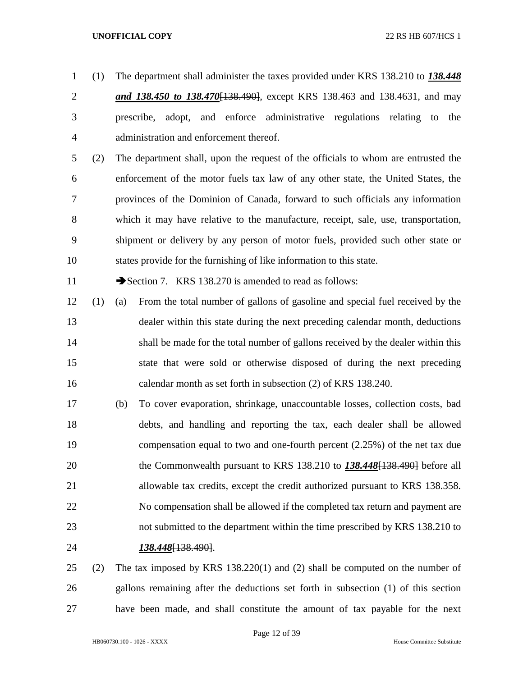(1) The department shall administer the taxes provided under KRS 138.210 to *138.448* 

- *and 138.450 to 138.470*[138.490], except KRS 138.463 and 138.4631, and may prescribe, adopt, and enforce administrative regulations relating to the administration and enforcement thereof.
- (2) The department shall, upon the request of the officials to whom are entrusted the enforcement of the motor fuels tax law of any other state, the United States, the provinces of the Dominion of Canada, forward to such officials any information which it may have relative to the manufacture, receipt, sale, use, transportation, shipment or delivery by any person of motor fuels, provided such other state or states provide for the furnishing of like information to this state.

11 Section 7. KRS 138.270 is amended to read as follows:

- (1) (a) From the total number of gallons of gasoline and special fuel received by the dealer within this state during the next preceding calendar month, deductions shall be made for the total number of gallons received by the dealer within this state that were sold or otherwise disposed of during the next preceding calendar month as set forth in subsection (2) of KRS 138.240.
- (b) To cover evaporation, shrinkage, unaccountable losses, collection costs, bad debts, and handling and reporting the tax, each dealer shall be allowed compensation equal to two and one-fourth percent (2.25%) of the net tax due the Commonwealth pursuant to KRS 138.210 to *138.448*[138.490] before all allowable tax credits, except the credit authorized pursuant to KRS 138.358. No compensation shall be allowed if the completed tax return and payment are not submitted to the department within the time prescribed by KRS 138.210 to *138.448*[138.490].
- (2) The tax imposed by KRS 138.220(1) and (2) shall be computed on the number of gallons remaining after the deductions set forth in subsection (1) of this section have been made, and shall constitute the amount of tax payable for the next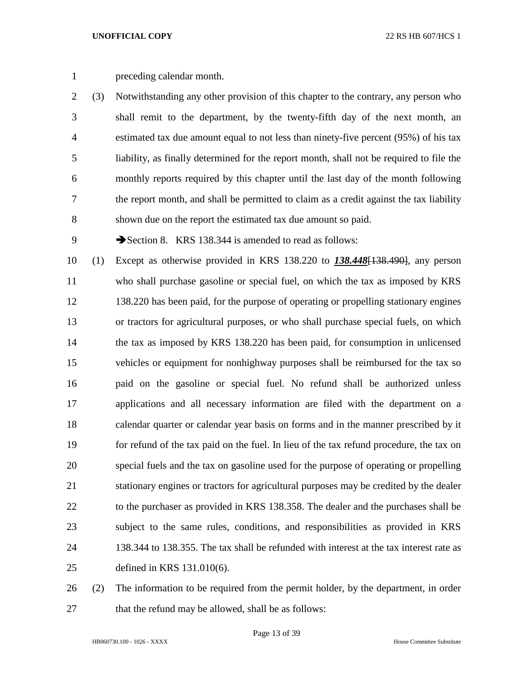preceding calendar month.

 (3) Notwithstanding any other provision of this chapter to the contrary, any person who shall remit to the department, by the twenty-fifth day of the next month, an estimated tax due amount equal to not less than ninety-five percent (95%) of his tax liability, as finally determined for the report month, shall not be required to file the monthly reports required by this chapter until the last day of the month following the report month, and shall be permitted to claim as a credit against the tax liability shown due on the report the estimated tax due amount so paid.

9 Section 8. KRS 138.344 is amended to read as follows:

 (1) Except as otherwise provided in KRS 138.220 to *138.448*[138.490], any person who shall purchase gasoline or special fuel, on which the tax as imposed by KRS 138.220 has been paid, for the purpose of operating or propelling stationary engines or tractors for agricultural purposes, or who shall purchase special fuels, on which the tax as imposed by KRS 138.220 has been paid, for consumption in unlicensed vehicles or equipment for nonhighway purposes shall be reimbursed for the tax so paid on the gasoline or special fuel. No refund shall be authorized unless applications and all necessary information are filed with the department on a calendar quarter or calendar year basis on forms and in the manner prescribed by it for refund of the tax paid on the fuel. In lieu of the tax refund procedure, the tax on special fuels and the tax on gasoline used for the purpose of operating or propelling stationary engines or tractors for agricultural purposes may be credited by the dealer to the purchaser as provided in KRS 138.358. The dealer and the purchases shall be subject to the same rules, conditions, and responsibilities as provided in KRS 138.344 to 138.355. The tax shall be refunded with interest at the tax interest rate as defined in KRS 131.010(6).

 (2) The information to be required from the permit holder, by the department, in order 27 that the refund may be allowed, shall be as follows: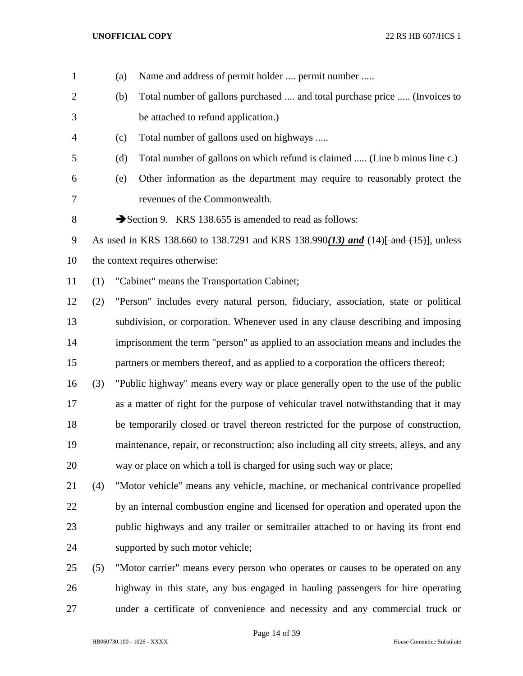| $\mathbf{1}$   |     | (a) | Name and address of permit holder  permit number                                         |
|----------------|-----|-----|------------------------------------------------------------------------------------------|
| $\overline{2}$ |     | (b) | Total number of gallons purchased  and total purchase price  (Invoices to                |
| 3              |     |     | be attached to refund application.)                                                      |
| 4              |     | (c) | Total number of gallons used on highways                                                 |
| 5              |     | (d) | Total number of gallons on which refund is claimed  (Line b minus line c.)               |
| 6              |     | (e) | Other information as the department may require to reasonably protect the                |
| 7              |     |     | revenues of the Commonwealth.                                                            |
| 8              |     |     | Section 9. KRS 138.655 is amended to read as follows:                                    |
| 9              |     |     | As used in KRS 138.660 to 138.7291 and KRS 138.990(13) and (14) and (15), unless         |
| 10             |     |     | the context requires otherwise:                                                          |
| 11             | (1) |     | "Cabinet" means the Transportation Cabinet;                                              |
| 12             | (2) |     | "Person" includes every natural person, fiduciary, association, state or political       |
| 13             |     |     | subdivision, or corporation. Whenever used in any clause describing and imposing         |
| 14             |     |     | imprisonment the term "person" as applied to an association means and includes the       |
| 15             |     |     | partners or members thereof, and as applied to a corporation the officers thereof;       |
| 16             | (3) |     | "Public highway" means every way or place generally open to the use of the public        |
| 17             |     |     | as a matter of right for the purpose of vehicular travel notwithstanding that it may     |
| 18             |     |     | be temporarily closed or travel thereon restricted for the purpose of construction,      |
| 19             |     |     | maintenance, repair, or reconstruction; also including all city streets, alleys, and any |
| 20             |     |     | way or place on which a toll is charged for using such way or place;                     |
| 21             | (4) |     | "Motor vehicle" means any vehicle, machine, or mechanical contrivance propelled          |
| 22             |     |     | by an internal combustion engine and licensed for operation and operated upon the        |
| 23             |     |     | public highways and any trailer or semitrailer attached to or having its front end       |
| 24             |     |     | supported by such motor vehicle;                                                         |
| 25             | (5) |     | "Motor carrier" means every person who operates or causes to be operated on any          |
| 26             |     |     | highway in this state, any bus engaged in hauling passengers for hire operating          |

under a certificate of convenience and necessity and any commercial truck or

HB060730.100 - 1026 - XXXX House Committee Substitute

Page 14 of 39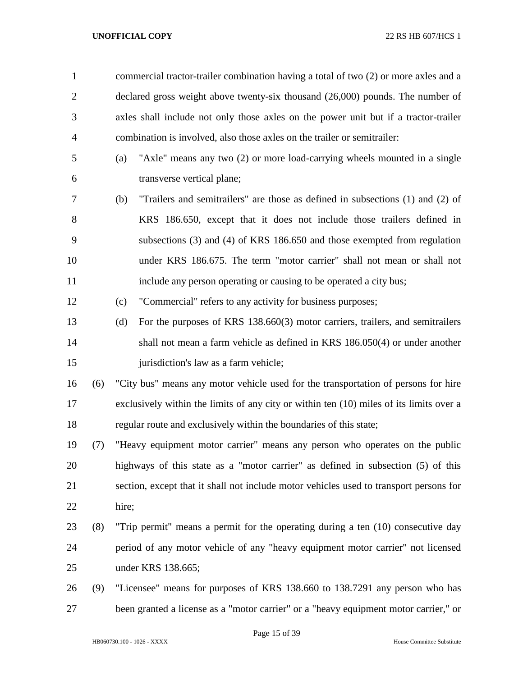| $\mathbf{1}$   |     | commercial tractor-trailer combination having a total of two (2) or more axles and a    |
|----------------|-----|-----------------------------------------------------------------------------------------|
| $\overline{2}$ |     | declared gross weight above twenty-six thousand (26,000) pounds. The number of          |
| 3              |     | axles shall include not only those axles on the power unit but if a tractor-trailer     |
| 4              |     | combination is involved, also those axles on the trailer or semitrailer:                |
| 5              |     | "Axle" means any two (2) or more load-carrying wheels mounted in a single<br>(a)        |
| 6              |     | transverse vertical plane;                                                              |
| 7              |     | "Trailers and semitrailers" are those as defined in subsections (1) and (2) of<br>(b)   |
| 8              |     | KRS 186.650, except that it does not include those trailers defined in                  |
| 9              |     | subsections (3) and (4) of KRS 186.650 and those exempted from regulation               |
| 10             |     | under KRS 186.675. The term "motor carrier" shall not mean or shall not                 |
| 11             |     | include any person operating or causing to be operated a city bus;                      |
| 12             |     | "Commercial" refers to any activity for business purposes;<br>(c)                       |
| 13             |     | For the purposes of KRS 138.660(3) motor carriers, trailers, and semitrailers<br>(d)    |
| 14             |     | shall not mean a farm vehicle as defined in KRS 186.050(4) or under another             |
| 15             |     | jurisdiction's law as a farm vehicle;                                                   |
| 16             | (6) | "City bus" means any motor vehicle used for the transportation of persons for hire      |
| 17             |     | exclusively within the limits of any city or within ten (10) miles of its limits over a |
| 18             |     | regular route and exclusively within the boundaries of this state;                      |
| 19             | (7) | "Heavy equipment motor carrier" means any person who operates on the public             |
| 20             |     | highways of this state as a "motor carrier" as defined in subsection (5) of this        |
| 21             |     | section, except that it shall not include motor vehicles used to transport persons for  |
| 22             |     | hire;                                                                                   |
| 23             | (8) | "Trip permit" means a permit for the operating during a ten (10) consecutive day        |
| 24             |     | period of any motor vehicle of any "heavy equipment motor carrier" not licensed         |
| 25             |     | under KRS 138.665;                                                                      |
| 26             | (9) | "Licensee" means for purposes of KRS 138.660 to 138.7291 any person who has             |
| 27             |     | been granted a license as a "motor carrier" or a "heavy equipment motor carrier," or    |
|                |     |                                                                                         |

Page 15 of 39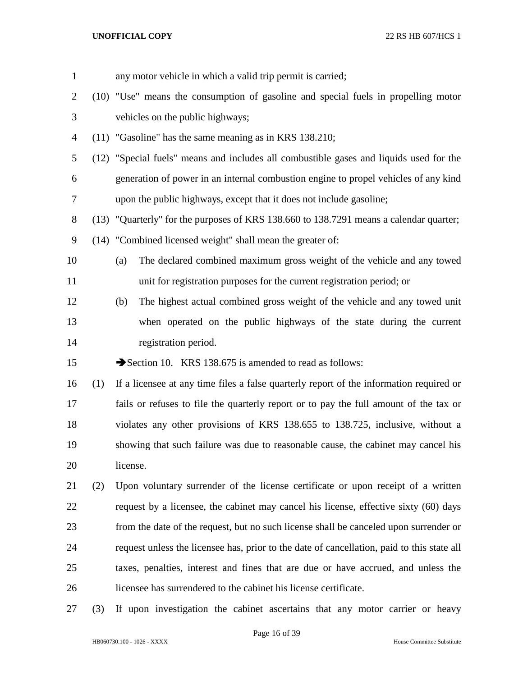| $\mathbf{1}$   |     | any motor vehicle in which a valid trip permit is carried;                                 |  |  |
|----------------|-----|--------------------------------------------------------------------------------------------|--|--|
| $\overline{2}$ |     | (10) "Use" means the consumption of gasoline and special fuels in propelling motor         |  |  |
| 3              |     | vehicles on the public highways;                                                           |  |  |
| $\overline{4}$ |     | (11) "Gasoline" has the same meaning as in KRS 138.210;                                    |  |  |
| 5              |     | (12) "Special fuels" means and includes all combustible gases and liquids used for the     |  |  |
| 6              |     | generation of power in an internal combustion engine to propel vehicles of any kind        |  |  |
| 7              |     | upon the public highways, except that it does not include gasoline;                        |  |  |
| $8\,$          |     | (13) "Quarterly" for the purposes of KRS 138.660 to 138.7291 means a calendar quarter;     |  |  |
| 9              |     | (14) "Combined licensed weight" shall mean the greater of:                                 |  |  |
| 10             |     | The declared combined maximum gross weight of the vehicle and any towed<br>(a)             |  |  |
| 11             |     | unit for registration purposes for the current registration period; or                     |  |  |
| 12             |     | The highest actual combined gross weight of the vehicle and any towed unit<br>(b)          |  |  |
| 13             |     | when operated on the public highways of the state during the current                       |  |  |
| 14             |     | registration period.                                                                       |  |  |
| 15             |     | Section 10. KRS 138.675 is amended to read as follows:                                     |  |  |
| 16             | (1) | If a licensee at any time files a false quarterly report of the information required or    |  |  |
| 17             |     | fails or refuses to file the quarterly report or to pay the full amount of the tax or      |  |  |
| 18             |     | violates any other provisions of KRS 138.655 to 138.725, inclusive, without a              |  |  |
| 19             |     | showing that such failure was due to reasonable cause, the cabinet may cancel his          |  |  |
| 20             |     | license.                                                                                   |  |  |
| 21             | (2) | Upon voluntary surrender of the license certificate or upon receipt of a written           |  |  |
| 22             |     | request by a licensee, the cabinet may cancel his license, effective sixty (60) days       |  |  |
| 23             |     | from the date of the request, but no such license shall be canceled upon surrender or      |  |  |
| 24             |     | request unless the licensee has, prior to the date of cancellation, paid to this state all |  |  |
| 25             |     | taxes, penalties, interest and fines that are due or have accrued, and unless the          |  |  |
| 26             |     | licensee has surrendered to the cabinet his license certificate.                           |  |  |
| 27             | (3) | If upon investigation the cabinet ascertains that any motor carrier or heavy               |  |  |

HB060730.100 - 1026 - XXXX House Committee Substitute

Page 16 of 39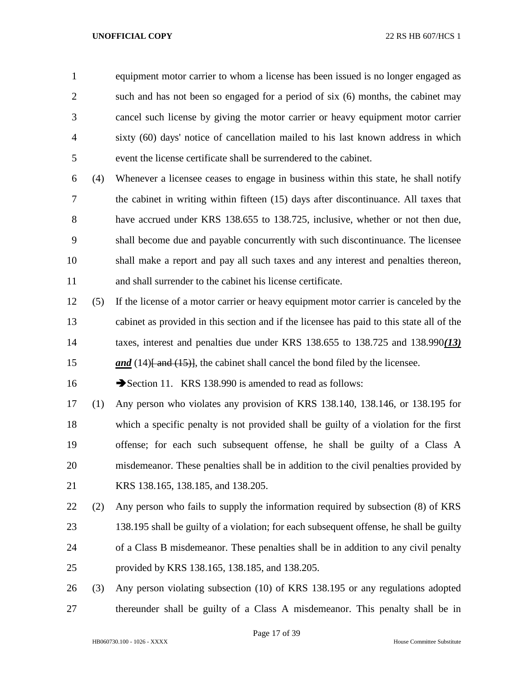equipment motor carrier to whom a license has been issued is no longer engaged as such and has not been so engaged for a period of six (6) months, the cabinet may cancel such license by giving the motor carrier or heavy equipment motor carrier sixty (60) days' notice of cancellation mailed to his last known address in which event the license certificate shall be surrendered to the cabinet.

 (4) Whenever a licensee ceases to engage in business within this state, he shall notify the cabinet in writing within fifteen (15) days after discontinuance. All taxes that have accrued under KRS 138.655 to 138.725, inclusive, whether or not then due, shall become due and payable concurrently with such discontinuance. The licensee shall make a report and pay all such taxes and any interest and penalties thereon, and shall surrender to the cabinet his license certificate.

 (5) If the license of a motor carrier or heavy equipment motor carrier is canceled by the cabinet as provided in this section and if the licensee has paid to this state all of the taxes, interest and penalties due under KRS 138.655 to 138.725 and 138.990*(13) and* (14)<del>[ and (15)]</del>, the cabinet shall cancel the bond filed by the licensee.

16 Section 11. KRS 138.990 is amended to read as follows:

 (1) Any person who violates any provision of KRS 138.140, 138.146, or 138.195 for which a specific penalty is not provided shall be guilty of a violation for the first offense; for each such subsequent offense, he shall be guilty of a Class A misdemeanor. These penalties shall be in addition to the civil penalties provided by KRS 138.165, 138.185, and 138.205.

 (2) Any person who fails to supply the information required by subsection (8) of KRS 138.195 shall be guilty of a violation; for each subsequent offense, he shall be guilty of a Class B misdemeanor. These penalties shall be in addition to any civil penalty provided by KRS 138.165, 138.185, and 138.205.

 (3) Any person violating subsection (10) of KRS 138.195 or any regulations adopted thereunder shall be guilty of a Class A misdemeanor. This penalty shall be in

Page 17 of 39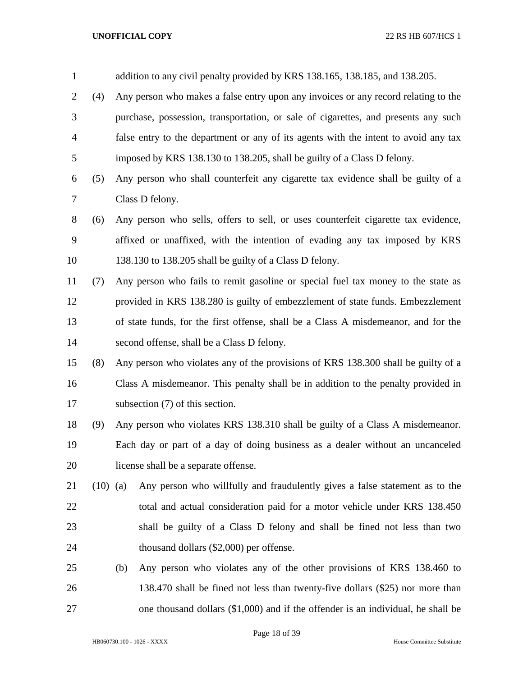| $\mathbf{1}$   |            |                                                                                     | addition to any civil penalty provided by KRS 138.165, 138.185, and 138.205.       |  |  |
|----------------|------------|-------------------------------------------------------------------------------------|------------------------------------------------------------------------------------|--|--|
| $\overline{2}$ | (4)        | Any person who makes a false entry upon any invoices or any record relating to the  |                                                                                    |  |  |
| 3              |            | purchase, possession, transportation, or sale of cigarettes, and presents any such  |                                                                                    |  |  |
| $\overline{4}$ |            | false entry to the department or any of its agents with the intent to avoid any tax |                                                                                    |  |  |
| 5              |            | imposed by KRS 138.130 to 138.205, shall be guilty of a Class D felony.             |                                                                                    |  |  |
| 6              | (5)        |                                                                                     | Any person who shall counterfeit any cigarette tax evidence shall be guilty of a   |  |  |
| 7              |            | Class D felony.                                                                     |                                                                                    |  |  |
| 8              | (6)        |                                                                                     | Any person who sells, offers to sell, or uses counterfeit cigarette tax evidence,  |  |  |
| 9              |            |                                                                                     | affixed or unaffixed, with the intention of evading any tax imposed by KRS         |  |  |
| 10             |            |                                                                                     | 138.130 to 138.205 shall be guilty of a Class D felony.                            |  |  |
| 11             | (7)        | Any person who fails to remit gasoline or special fuel tax money to the state as    |                                                                                    |  |  |
| 12             |            |                                                                                     | provided in KRS 138.280 is guilty of embezzlement of state funds. Embezzlement     |  |  |
| 13             |            |                                                                                     | of state funds, for the first offense, shall be a Class A misdemeanor, and for the |  |  |
| 14             |            |                                                                                     | second offense, shall be a Class D felony.                                         |  |  |
| 15             | (8)        |                                                                                     | Any person who violates any of the provisions of KRS 138.300 shall be guilty of a  |  |  |
| 16             |            |                                                                                     | Class A misdemeanor. This penalty shall be in addition to the penalty provided in  |  |  |
| 17             |            |                                                                                     | subsection (7) of this section.                                                    |  |  |
| 18             | (9)        |                                                                                     | Any person who violates KRS 138.310 shall be guilty of a Class A misdemeanor.      |  |  |
| 19             |            | Each day or part of a day of doing business as a dealer without an uncanceled       |                                                                                    |  |  |
| 20             |            |                                                                                     | license shall be a separate offense.                                               |  |  |
| 21             | $(10)$ (a) |                                                                                     | Any person who willfully and fraudulently gives a false statement as to the        |  |  |
| 22             |            |                                                                                     | total and actual consideration paid for a motor vehicle under KRS 138.450          |  |  |
| 23             |            |                                                                                     | shall be guilty of a Class D felony and shall be fined not less than two           |  |  |
| 24             |            |                                                                                     | thousand dollars (\$2,000) per offense.                                            |  |  |
| 25             |            | (b)                                                                                 | Any person who violates any of the other provisions of KRS 138.460 to              |  |  |
| 26             |            |                                                                                     | 138.470 shall be fined not less than twenty-five dollars (\$25) nor more than      |  |  |
| 27             |            |                                                                                     | one thousand dollars $(\$1,000)$ and if the offender is an individual, he shall be |  |  |

Page 18 of 39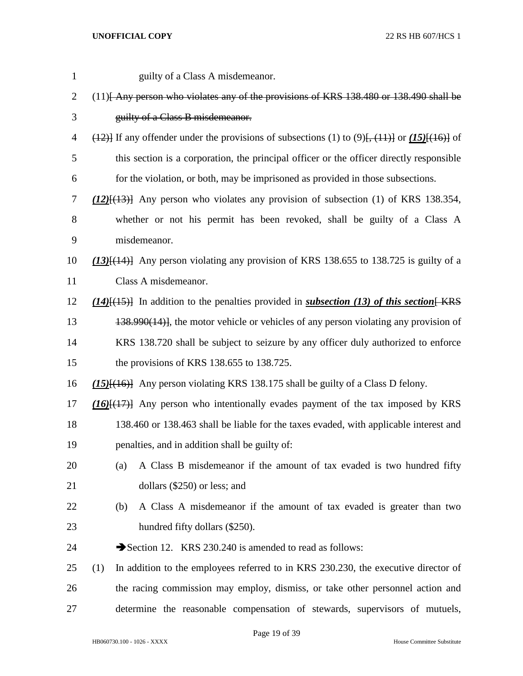| $\mathbf{1}$   | guilty of a Class A misdemeanor.                                                                             |  |  |  |
|----------------|--------------------------------------------------------------------------------------------------------------|--|--|--|
| $\overline{c}$ | (11) Any person who violates any of the provisions of KRS 138.480 or 138.490 shall be                        |  |  |  |
| 3              | guilty of a Class B misdemeanor.                                                                             |  |  |  |
| 4              | $(12)$ If any offender under the provisions of subsections (1) to (9) <del>[, (11)]</del> or (15)[(16)] of   |  |  |  |
| 5              | this section is a corporation, the principal officer or the officer directly responsible                     |  |  |  |
| 6              | for the violation, or both, may be imprisoned as provided in those subsections.                              |  |  |  |
| 7              | $(12)$ [ $(13)$ ] Any person who violates any provision of subsection (1) of KRS 138.354,                    |  |  |  |
| 8              | whether or not his permit has been revoked, shall be guilty of a Class A                                     |  |  |  |
| 9              | misdemeanor.                                                                                                 |  |  |  |
| 10             | (13) <sup>[(14)</sup> ] Any person violating any provision of KRS 138.655 to 138.725 is guilty of a          |  |  |  |
| 11             | Class A misdemeanor.                                                                                         |  |  |  |
| 12             | $(14)$ [ $(15)$ ] In addition to the penalties provided in <i>subsection</i> (13) of this section <b>KRS</b> |  |  |  |
| 13             | $138.990(14)$ , the motor vehicle or vehicles of any person violating any provision of                       |  |  |  |
| 14             | KRS 138.720 shall be subject to seizure by any officer duly authorized to enforce                            |  |  |  |
| 15             | the provisions of KRS 138.655 to 138.725.                                                                    |  |  |  |
| 16             | $(15)$ { $(16)$ } Any person violating KRS 138.175 shall be guilty of a Class D felony.                      |  |  |  |
| 17             | $(16)$ $(17)$ Any person who intentionally evades payment of the tax imposed by KRS                          |  |  |  |
| 18             | 138.460 or 138.463 shall be liable for the taxes evaded, with applicable interest and                        |  |  |  |
| 19             | penalties, and in addition shall be guilty of:                                                               |  |  |  |
| 20             | A Class B misdemeanor if the amount of tax evaded is two hundred fifty<br>(a)                                |  |  |  |
| 21             | dollars $(\$250)$ or less; and                                                                               |  |  |  |
| 22             | A Class A misdemeanor if the amount of tax evaded is greater than two<br>(b)                                 |  |  |  |
| 23             | hundred fifty dollars (\$250).                                                                               |  |  |  |
| 24             | Section 12. KRS 230.240 is amended to read as follows:                                                       |  |  |  |
| 25             | In addition to the employees referred to in KRS 230.230, the executive director of<br>(1)                    |  |  |  |
| 26             | the racing commission may employ, dismiss, or take other personnel action and                                |  |  |  |
| 27             | determine the reasonable compensation of stewards, supervisors of mutuels,                                   |  |  |  |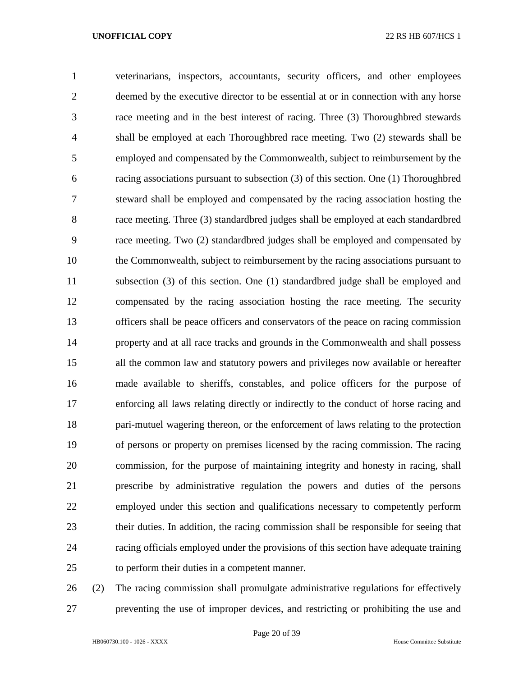veterinarians, inspectors, accountants, security officers, and other employees deemed by the executive director to be essential at or in connection with any horse race meeting and in the best interest of racing. Three (3) Thoroughbred stewards shall be employed at each Thoroughbred race meeting. Two (2) stewards shall be employed and compensated by the Commonwealth, subject to reimbursement by the racing associations pursuant to subsection (3) of this section. One (1) Thoroughbred steward shall be employed and compensated by the racing association hosting the race meeting. Three (3) standardbred judges shall be employed at each standardbred race meeting. Two (2) standardbred judges shall be employed and compensated by the Commonwealth, subject to reimbursement by the racing associations pursuant to subsection (3) of this section. One (1) standardbred judge shall be employed and compensated by the racing association hosting the race meeting. The security officers shall be peace officers and conservators of the peace on racing commission property and at all race tracks and grounds in the Commonwealth and shall possess all the common law and statutory powers and privileges now available or hereafter made available to sheriffs, constables, and police officers for the purpose of enforcing all laws relating directly or indirectly to the conduct of horse racing and pari-mutuel wagering thereon, or the enforcement of laws relating to the protection of persons or property on premises licensed by the racing commission. The racing commission, for the purpose of maintaining integrity and honesty in racing, shall prescribe by administrative regulation the powers and duties of the persons employed under this section and qualifications necessary to competently perform their duties. In addition, the racing commission shall be responsible for seeing that racing officials employed under the provisions of this section have adequate training to perform their duties in a competent manner.

 (2) The racing commission shall promulgate administrative regulations for effectively preventing the use of improper devices, and restricting or prohibiting the use and

Page 20 of 39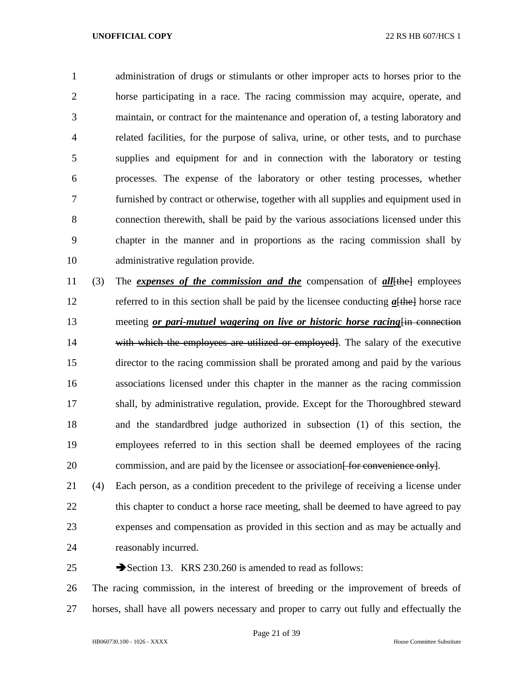administration of drugs or stimulants or other improper acts to horses prior to the horse participating in a race. The racing commission may acquire, operate, and maintain, or contract for the maintenance and operation of, a testing laboratory and related facilities, for the purpose of saliva, urine, or other tests, and to purchase supplies and equipment for and in connection with the laboratory or testing processes. The expense of the laboratory or other testing processes, whether furnished by contract or otherwise, together with all supplies and equipment used in connection therewith, shall be paid by the various associations licensed under this chapter in the manner and in proportions as the racing commission shall by administrative regulation provide.

 (3) The *expenses of the commission and the* compensation of *all*[the] employees referred to in this section shall be paid by the licensee conducting *a*[the] horse race 13 meeting *or pari-mutuel wagering on live or historic horse racing*  $\frac{1}{n}$  connection 14 with which the employees are utilized or employed. The salary of the executive director to the racing commission shall be prorated among and paid by the various associations licensed under this chapter in the manner as the racing commission shall, by administrative regulation, provide. Except for the Thoroughbred steward and the standardbred judge authorized in subsection (1) of this section, the employees referred to in this section shall be deemed employees of the racing 20 commission, and are paid by the licensee or association for convenience only.

 (4) Each person, as a condition precedent to the privilege of receiving a license under 22 this chapter to conduct a horse race meeting, shall be deemed to have agreed to pay expenses and compensation as provided in this section and as may be actually and reasonably incurred.

25 Section 13. KRS 230.260 is amended to read as follows:

 The racing commission, in the interest of breeding or the improvement of breeds of horses, shall have all powers necessary and proper to carry out fully and effectually the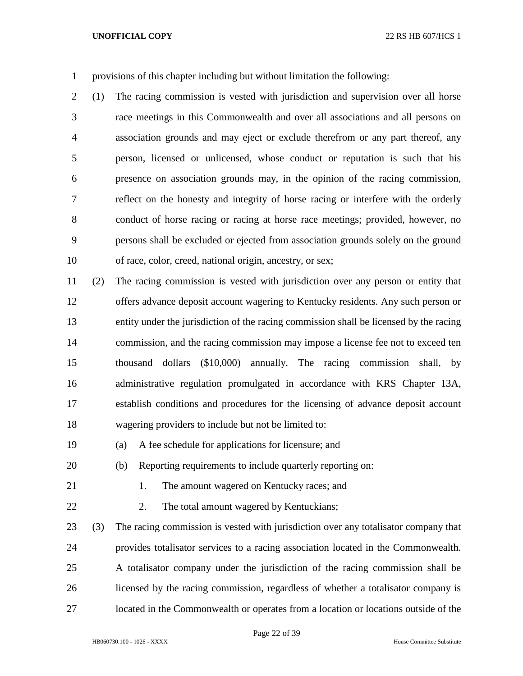provisions of this chapter including but without limitation the following:

 (1) The racing commission is vested with jurisdiction and supervision over all horse race meetings in this Commonwealth and over all associations and all persons on association grounds and may eject or exclude therefrom or any part thereof, any person, licensed or unlicensed, whose conduct or reputation is such that his presence on association grounds may, in the opinion of the racing commission, reflect on the honesty and integrity of horse racing or interfere with the orderly conduct of horse racing or racing at horse race meetings; provided, however, no persons shall be excluded or ejected from association grounds solely on the ground of race, color, creed, national origin, ancestry, or sex;

 (2) The racing commission is vested with jurisdiction over any person or entity that offers advance deposit account wagering to Kentucky residents. Any such person or entity under the jurisdiction of the racing commission shall be licensed by the racing commission, and the racing commission may impose a license fee not to exceed ten thousand dollars (\$10,000) annually. The racing commission shall, by administrative regulation promulgated in accordance with KRS Chapter 13A, establish conditions and procedures for the licensing of advance deposit account wagering providers to include but not be limited to:

- (a) A fee schedule for applications for licensure; and
- (b) Reporting requirements to include quarterly reporting on:
- 
- 21 1. The amount wagered on Kentucky races; and
- 

22 2. The total amount wagered by Kentuckians;

 (3) The racing commission is vested with jurisdiction over any totalisator company that provides totalisator services to a racing association located in the Commonwealth. A totalisator company under the jurisdiction of the racing commission shall be licensed by the racing commission, regardless of whether a totalisator company is located in the Commonwealth or operates from a location or locations outside of the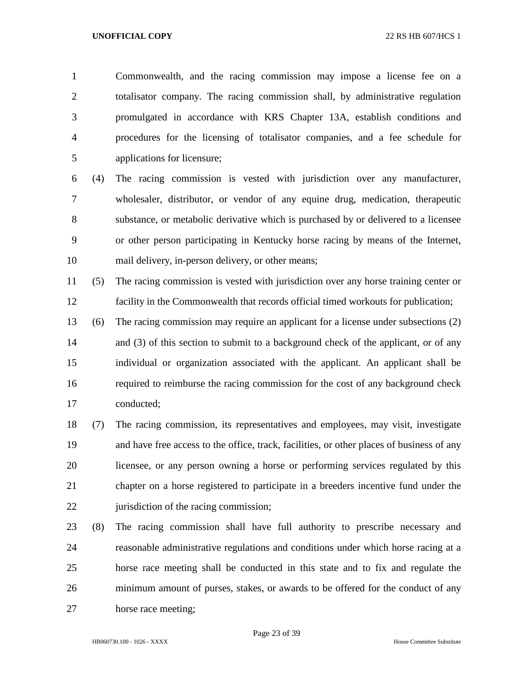Commonwealth, and the racing commission may impose a license fee on a totalisator company. The racing commission shall, by administrative regulation promulgated in accordance with KRS Chapter 13A, establish conditions and procedures for the licensing of totalisator companies, and a fee schedule for applications for licensure;

 (4) The racing commission is vested with jurisdiction over any manufacturer, wholesaler, distributor, or vendor of any equine drug, medication, therapeutic substance, or metabolic derivative which is purchased by or delivered to a licensee or other person participating in Kentucky horse racing by means of the Internet, mail delivery, in-person delivery, or other means;

 (5) The racing commission is vested with jurisdiction over any horse training center or facility in the Commonwealth that records official timed workouts for publication;

 (6) The racing commission may require an applicant for a license under subsections (2) 14 and (3) of this section to submit to a background check of the applicant, or of any individual or organization associated with the applicant. An applicant shall be required to reimburse the racing commission for the cost of any background check conducted;

 (7) The racing commission, its representatives and employees, may visit, investigate and have free access to the office, track, facilities, or other places of business of any licensee, or any person owning a horse or performing services regulated by this chapter on a horse registered to participate in a breeders incentive fund under the 22 jurisdiction of the racing commission;

 (8) The racing commission shall have full authority to prescribe necessary and reasonable administrative regulations and conditions under which horse racing at a horse race meeting shall be conducted in this state and to fix and regulate the minimum amount of purses, stakes, or awards to be offered for the conduct of any horse race meeting;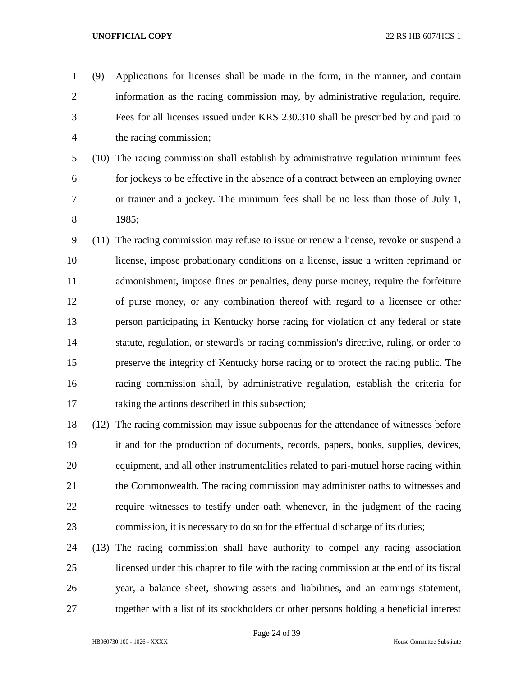- (9) Applications for licenses shall be made in the form, in the manner, and contain information as the racing commission may, by administrative regulation, require. Fees for all licenses issued under KRS 230.310 shall be prescribed by and paid to the racing commission; (10) The racing commission shall establish by administrative regulation minimum fees for jockeys to be effective in the absence of a contract between an employing owner or trainer and a jockey. The minimum fees shall be no less than those of July 1, 1985; (11) The racing commission may refuse to issue or renew a license, revoke or suspend a license, impose probationary conditions on a license, issue a written reprimand or admonishment, impose fines or penalties, deny purse money, require the forfeiture of purse money, or any combination thereof with regard to a licensee or other person participating in Kentucky horse racing for violation of any federal or state statute, regulation, or steward's or racing commission's directive, ruling, or order to
- preserve the integrity of Kentucky horse racing or to protect the racing public. The racing commission shall, by administrative regulation, establish the criteria for taking the actions described in this subsection;
- (12) The racing commission may issue subpoenas for the attendance of witnesses before it and for the production of documents, records, papers, books, supplies, devices, equipment, and all other instrumentalities related to pari-mutuel horse racing within the Commonwealth. The racing commission may administer oaths to witnesses and require witnesses to testify under oath whenever, in the judgment of the racing commission, it is necessary to do so for the effectual discharge of its duties;
- (13) The racing commission shall have authority to compel any racing association licensed under this chapter to file with the racing commission at the end of its fiscal year, a balance sheet, showing assets and liabilities, and an earnings statement, together with a list of its stockholders or other persons holding a beneficial interest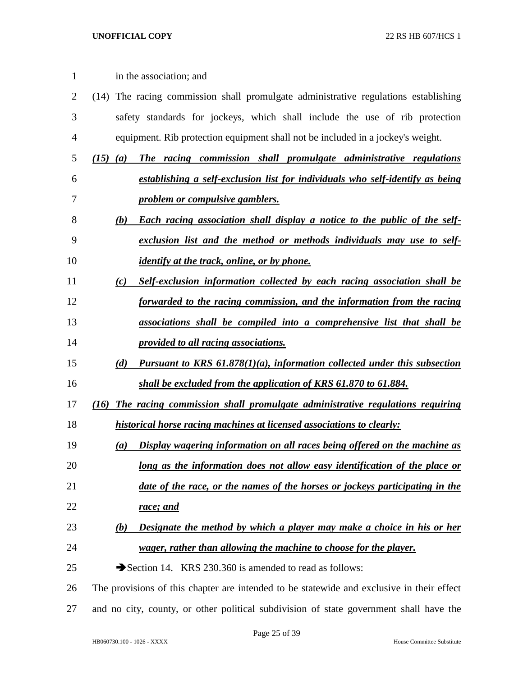| $\mathbf{1}$   | in the association; and                                                                   |
|----------------|-------------------------------------------------------------------------------------------|
| $\overline{2}$ | (14) The racing commission shall promulgate administrative regulations establishing       |
| 3              | safety standards for jockeys, which shall include the use of rib protection               |
| 4              | equipment. Rib protection equipment shall not be included in a jockey's weight.           |
| 5              | The racing commission shall promulgate administrative regulations<br>$(15)$ $(a)$         |
| 6              | establishing a self-exclusion list for individuals who self-identify as being             |
| 7              | problem or compulsive gamblers.                                                           |
| 8              | Each racing association shall display a notice to the public of the self-<br>(b)          |
| 9              | exclusion list and the method or methods individuals may use to self-                     |
| 10             | <i>identify at the track, online, or by phone.</i>                                        |
| 11             | Self-exclusion information collected by each racing association shall be<br>(c)           |
| 12             | forwarded to the racing commission, and the information from the racing                   |
| 13             | associations shall be compiled into a comprehensive list that shall be                    |
| 14             | provided to all racing associations.                                                      |
| 15             | <b>Pursuant to KRS 61.878(1)(a), information collected under this subsection</b><br>(d)   |
| 16             | shall be excluded from the application of KRS 61.870 to 61.884.                           |
| 17             | The racing commission shall promulgate administrative regulations requiring<br>(16)       |
| 18             | historical horse racing machines at licensed associations to clearly:                     |
| 19             | Display wagering information on all races being offered on the machine as<br>(a)          |
| 20             | long as the information does not allow easy identification of the place or                |
| 21             | date of the race, or the names of the horses or jockeys participating in the              |
| 22             | race; and                                                                                 |
| 23             | Designate the method by which a player may make a choice in his or her<br>(b)             |
| 24             | wager, rather than allowing the machine to choose for the player.                         |
| 25             | Section 14. KRS 230.360 is amended to read as follows:                                    |
| 26             | The provisions of this chapter are intended to be statewide and exclusive in their effect |
| 27             | and no city, county, or other political subdivision of state government shall have the    |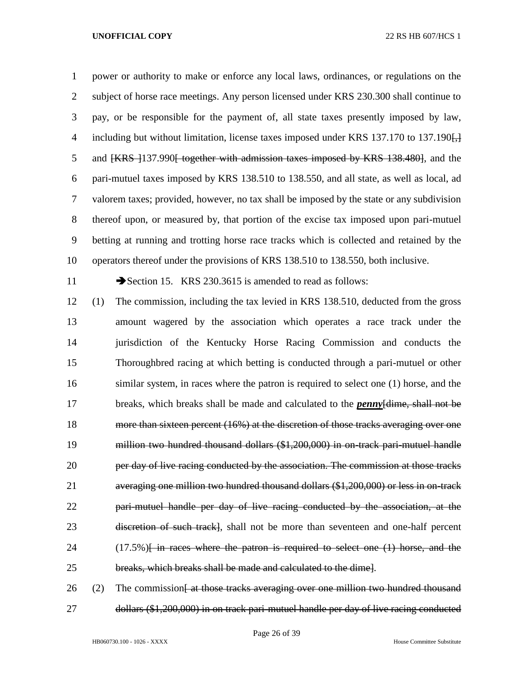power or authority to make or enforce any local laws, ordinances, or regulations on the subject of horse race meetings. Any person licensed under KRS 230.300 shall continue to pay, or be responsible for the payment of, all state taxes presently imposed by law, 4 including but without limitation, license taxes imposed under KRS 137.170 to 137.190. 5 and  $\{KRS\}$  137.990 together with admission taxes imposed by KRS 138.480, and the pari-mutuel taxes imposed by KRS 138.510 to 138.550, and all state, as well as local, ad valorem taxes; provided, however, no tax shall be imposed by the state or any subdivision thereof upon, or measured by, that portion of the excise tax imposed upon pari-mutuel betting at running and trotting horse race tracks which is collected and retained by the operators thereof under the provisions of KRS 138.510 to 138.550, both inclusive.

11 Section 15. KRS 230.3615 is amended to read as follows:

 (1) The commission, including the tax levied in KRS 138.510, deducted from the gross amount wagered by the association which operates a race track under the jurisdiction of the Kentucky Horse Racing Commission and conducts the Thoroughbred racing at which betting is conducted through a pari-mutuel or other 16 similar system, in races where the patron is required to select one (1) horse, and the breaks, which breaks shall be made and calculated to the *penny*[dime, shall not be more than sixteen percent (16%) at the discretion of those tracks averaging over one million two hundred thousand dollars (\$1,200,000) in on-track pari-mutuel handle **per day of live racing conducted by the association. The commission at those tracks**  averaging one million two hundred thousand dollars (\$1,200,000) or less in on-track pari-mutuel handle per day of live racing conducted by the association, at the 23 discretion of such track], shall not be more than seventeen and one-half percent 24 (17.5%) [ in races where the patron is required to select one (1) horse, and the breaks, which breaks shall be made and calculated to the dime].

26 (2) The commission  $\frac{1}{2}$  at those tracks averaging over one million two hundred thousand dollars (\$1,200,000) in on track pari-mutuel handle per day of live racing conducted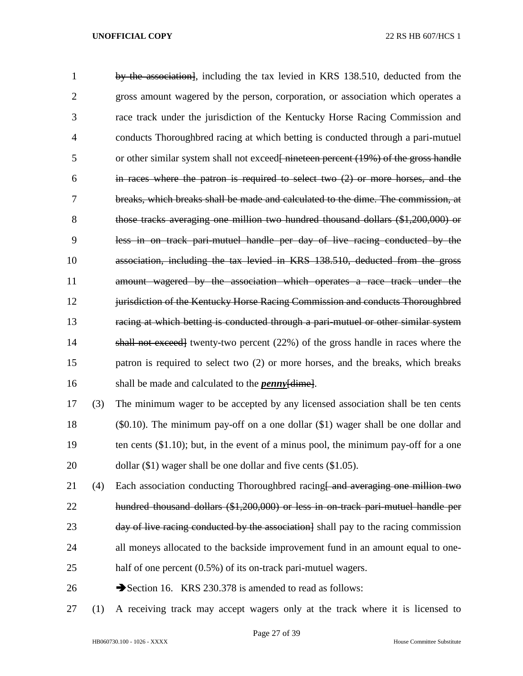by the association], including the tax levied in KRS 138.510, deducted from the gross amount wagered by the person, corporation, or association which operates a race track under the jurisdiction of the Kentucky Horse Racing Commission and conducts Thoroughbred racing at which betting is conducted through a pari-mutuel 5 or other similar system shall not exceed is necessary interest (19%) of the gross handle in races where the patron is required to select two (2) or more horses, and the breaks, which breaks shall be made and calculated to the dime. The commission, at those tracks averaging one million two hundred thousand dollars (\$1,200,000) or less in on track pari-mutuel handle per day of live racing conducted by the association, including the tax levied in KRS 138.510, deducted from the gross amount wagered by the association which operates a race track under the 12 jurisdiction of the Kentucky Horse Racing Commission and conducts Thoroughbred racing at which betting is conducted through a pari-mutuel or other similar system shall not exceed] twenty-two percent (22%) of the gross handle in races where the patron is required to select two (2) or more horses, and the breaks, which breaks shall be made and calculated to the *penny*[dime]. (3) The minimum wager to be accepted by any licensed association shall be ten cents (\$0.10). The minimum pay-off on a one dollar (\$1) wager shall be one dollar and 19 ten cents (\$1.10); but, in the event of a minus pool, the minimum pay-off for a one 20 dollar (\$1) wager shall be one dollar and five cents (\$1.05). 21 (4) Each association conducting Thoroughbred racing and averaging one million two hundred thousand dollars (\$1,200,000) or less in on-track pari-mutuel handle per 23 day of live racing conducted by the association  $\alpha$  shall pay to the racing commission all moneys allocated to the backside improvement fund in an amount equal to one-

- 25 half of one percent (0.5%) of its on-track pari-mutuel wagers.
- 26 Section 16. KRS 230.378 is amended to read as follows:
- (1) A receiving track may accept wagers only at the track where it is licensed to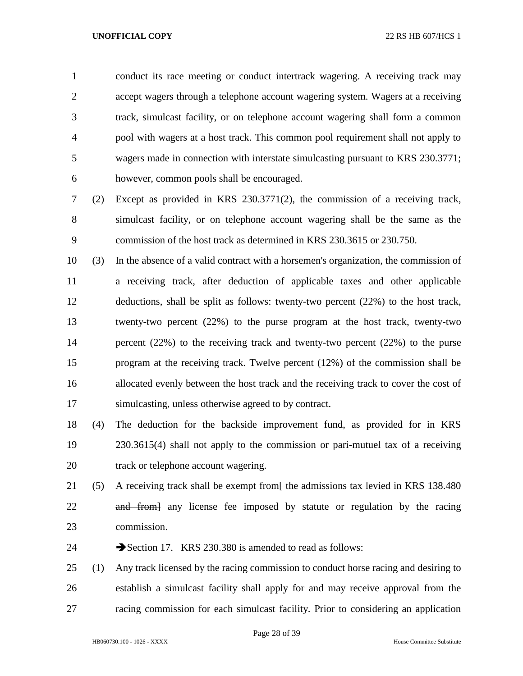conduct its race meeting or conduct intertrack wagering. A receiving track may accept wagers through a telephone account wagering system. Wagers at a receiving track, simulcast facility, or on telephone account wagering shall form a common pool with wagers at a host track. This common pool requirement shall not apply to wagers made in connection with interstate simulcasting pursuant to KRS 230.3771; however, common pools shall be encouraged.

- (2) Except as provided in KRS 230.3771(2), the commission of a receiving track, simulcast facility, or on telephone account wagering shall be the same as the commission of the host track as determined in KRS 230.3615 or 230.750.
- (3) In the absence of a valid contract with a horsemen's organization, the commission of a receiving track, after deduction of applicable taxes and other applicable deductions, shall be split as follows: twenty-two percent (22%) to the host track, twenty-two percent (22%) to the purse program at the host track, twenty-two percent (22%) to the receiving track and twenty-two percent (22%) to the purse program at the receiving track. Twelve percent (12%) of the commission shall be allocated evenly between the host track and the receiving track to cover the cost of simulcasting, unless otherwise agreed to by contract.
- (4) The deduction for the backside improvement fund, as provided for in KRS 230.3615(4) shall not apply to the commission or pari-mutuel tax of a receiving 20 track or telephone account wagering.
- 21 (5) A receiving track shall be exempt from<del>- the admissions tax levied in KRS 138.480</del> 22 and from any license fee imposed by statute or regulation by the racing commission.
- 24 Section 17. KRS 230.380 is amended to read as follows:
- (1) Any track licensed by the racing commission to conduct horse racing and desiring to establish a simulcast facility shall apply for and may receive approval from the racing commission for each simulcast facility. Prior to considering an application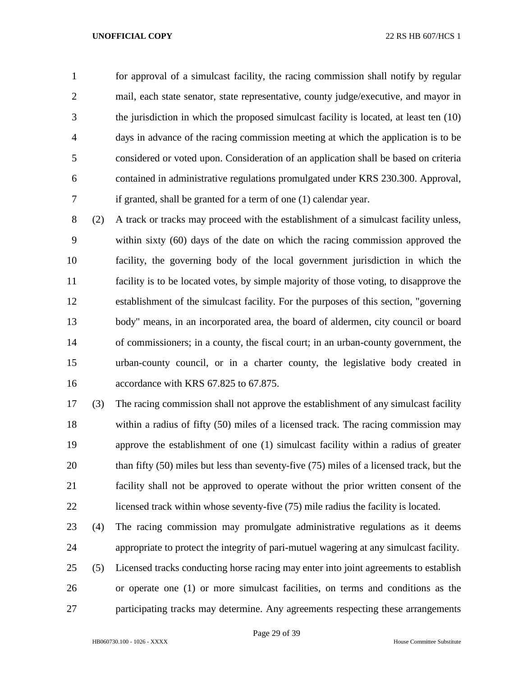for approval of a simulcast facility, the racing commission shall notify by regular 2 mail, each state senator, state representative, county judge/executive, and mayor in the jurisdiction in which the proposed simulcast facility is located, at least ten (10) days in advance of the racing commission meeting at which the application is to be considered or voted upon. Consideration of an application shall be based on criteria contained in administrative regulations promulgated under KRS 230.300. Approval, if granted, shall be granted for a term of one (1) calendar year.

 (2) A track or tracks may proceed with the establishment of a simulcast facility unless, within sixty (60) days of the date on which the racing commission approved the facility, the governing body of the local government jurisdiction in which the facility is to be located votes, by simple majority of those voting, to disapprove the establishment of the simulcast facility. For the purposes of this section, "governing body" means, in an incorporated area, the board of aldermen, city council or board of commissioners; in a county, the fiscal court; in an urban-county government, the urban-county council, or in a charter county, the legislative body created in accordance with KRS 67.825 to 67.875.

 (3) The racing commission shall not approve the establishment of any simulcast facility within a radius of fifty (50) miles of a licensed track. The racing commission may approve the establishment of one (1) simulcast facility within a radius of greater 20 than fifty (50) miles but less than seventy-five (75) miles of a licensed track, but the facility shall not be approved to operate without the prior written consent of the licensed track within whose seventy-five (75) mile radius the facility is located.

 (4) The racing commission may promulgate administrative regulations as it deems appropriate to protect the integrity of pari-mutuel wagering at any simulcast facility.

 (5) Licensed tracks conducting horse racing may enter into joint agreements to establish or operate one (1) or more simulcast facilities, on terms and conditions as the participating tracks may determine. Any agreements respecting these arrangements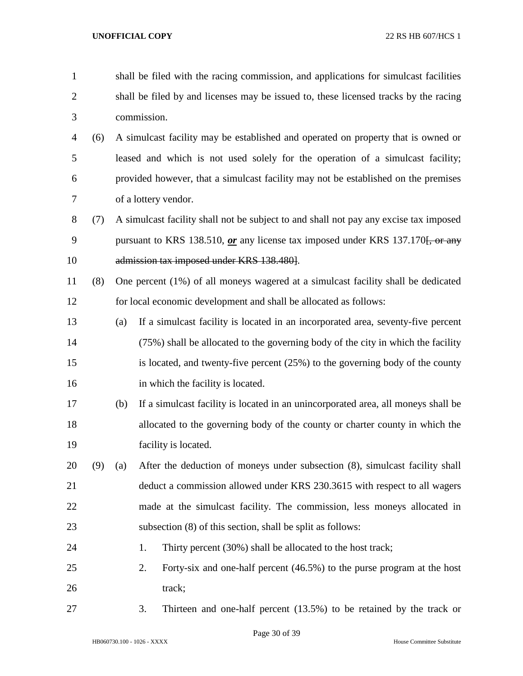| $\mathbf{1}$   |     | shall be filed with the racing commission, and applications for simulcast facilities |                                                                                       |  |  |  |
|----------------|-----|--------------------------------------------------------------------------------------|---------------------------------------------------------------------------------------|--|--|--|
| $\overline{2}$ |     | shall be filed by and licenses may be issued to, these licensed tracks by the racing |                                                                                       |  |  |  |
| 3              |     |                                                                                      | commission.                                                                           |  |  |  |
| 4              | (6) |                                                                                      | A simulcast facility may be established and operated on property that is owned or     |  |  |  |
| 5              |     |                                                                                      | leased and which is not used solely for the operation of a simulcast facility;        |  |  |  |
| 6              |     |                                                                                      | provided however, that a simulcast facility may not be established on the premises    |  |  |  |
| 7              |     |                                                                                      | of a lottery vendor.                                                                  |  |  |  |
| $8\,$          | (7) |                                                                                      | A simulcast facility shall not be subject to and shall not pay any excise tax imposed |  |  |  |
| 9              |     |                                                                                      | pursuant to KRS 138.510, or any license tax imposed under KRS 137.170. or any         |  |  |  |
| 10             |     |                                                                                      | admission tax imposed under KRS 138.480].                                             |  |  |  |
| 11             | (8) | One percent (1%) of all moneys wagered at a simulcast facility shall be dedicated    |                                                                                       |  |  |  |
| 12             |     |                                                                                      | for local economic development and shall be allocated as follows:                     |  |  |  |
| 13             |     | (a)                                                                                  | If a simulcast facility is located in an incorporated area, seventy-five percent      |  |  |  |
| 14             |     |                                                                                      | (75%) shall be allocated to the governing body of the city in which the facility      |  |  |  |
| 15             |     |                                                                                      | is located, and twenty-five percent (25%) to the governing body of the county         |  |  |  |
| 16             |     |                                                                                      | in which the facility is located.                                                     |  |  |  |
| 17             |     | (b)                                                                                  | If a simulcast facility is located in an unincorporated area, all moneys shall be     |  |  |  |
| 18             |     |                                                                                      | allocated to the governing body of the county or charter county in which the          |  |  |  |
| 19             |     |                                                                                      | facility is located.                                                                  |  |  |  |
| 20             | (9) | (a)                                                                                  | After the deduction of moneys under subsection (8), simulcast facility shall          |  |  |  |
| 21             |     | deduct a commission allowed under KRS 230.3615 with respect to all wagers            |                                                                                       |  |  |  |
| 22             |     | made at the simulcast facility. The commission, less moneys allocated in             |                                                                                       |  |  |  |
| 23             |     |                                                                                      | subsection (8) of this section, shall be split as follows:                            |  |  |  |
| 24             |     |                                                                                      | Thirty percent (30%) shall be allocated to the host track;<br>1.                      |  |  |  |
| 25             |     |                                                                                      | 2.<br>Forty-six and one-half percent (46.5%) to the purse program at the host         |  |  |  |
| 26             |     |                                                                                      | track;                                                                                |  |  |  |
| 27             |     |                                                                                      | Thirteen and one-half percent $(13.5%)$ to be retained by the track or<br>3.          |  |  |  |

Page 30 of 39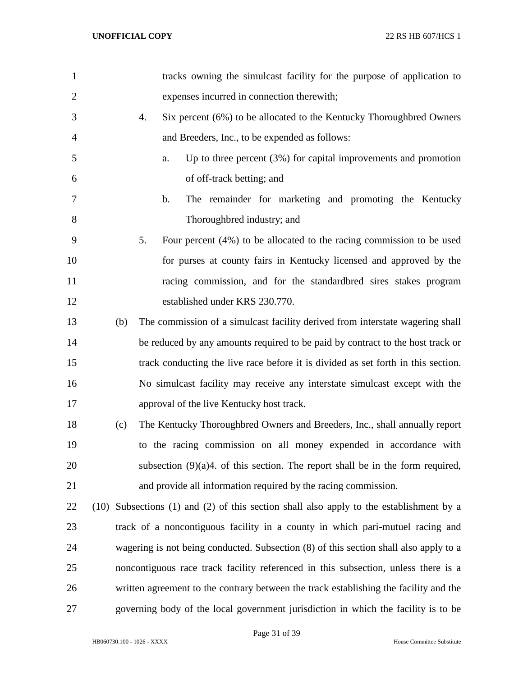| $\mathbf{1}$   |               | tracks owning the simulcast facility for the purpose of application to                |
|----------------|---------------|---------------------------------------------------------------------------------------|
| $\overline{2}$ |               | expenses incurred in connection therewith;                                            |
| 3              | 4.            | Six percent (6%) to be allocated to the Kentucky Thoroughbred Owners                  |
| 4              |               | and Breeders, Inc., to be expended as follows:                                        |
| 5              | a.            | Up to three percent $(3%)$ for capital improvements and promotion                     |
| 6              |               | of off-track betting; and                                                             |
| 7              | $\mathbf b$ . | The remainder for marketing and promoting the Kentucky                                |
| 8              |               | Thoroughbred industry; and                                                            |
| 9              | 5.            | Four percent $(4%)$ to be allocated to the racing commission to be used               |
| 10             |               | for purses at county fairs in Kentucky licensed and approved by the                   |
| 11             |               | racing commission, and for the standard bred sires stakes program                     |
| 12             |               | established under KRS 230.770.                                                        |
| 13             | (b)           | The commission of a simulcast facility derived from interstate wagering shall         |
| 14             |               | be reduced by any amounts required to be paid by contract to the host track or        |
| 15             |               | track conducting the live race before it is divided as set forth in this section.     |
| 16             |               | No simulcast facility may receive any interstate simulcast except with the            |
| 17             |               | approval of the live Kentucky host track.                                             |
| 18             | (c)           | The Kentucky Thoroughbred Owners and Breeders, Inc., shall annually report            |
| 19             |               | to the racing commission on all money expended in accordance with                     |
| 20             |               | subsection $(9)(a)4$ . of this section. The report shall be in the form required,     |
| 21             |               | and provide all information required by the racing commission.                        |
| 22             | (10)          | Subsections (1) and (2) of this section shall also apply to the establishment by a    |
| 23             |               | track of a noncontiguous facility in a county in which pari-mutuel racing and         |
| 24             |               | wagering is not being conducted. Subsection (8) of this section shall also apply to a |
| 25             |               | noncontiguous race track facility referenced in this subsection, unless there is a    |
| 26             |               | written agreement to the contrary between the track establishing the facility and the |
| 27             |               | governing body of the local government jurisdiction in which the facility is to be    |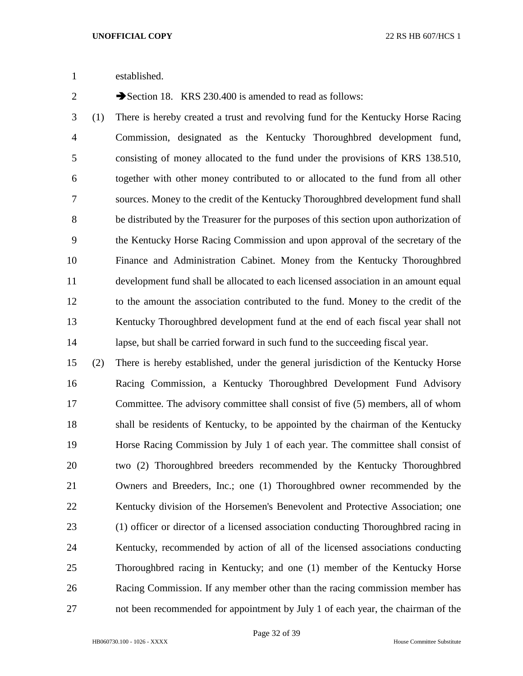established.

2 Section 18. KRS 230.400 is amended to read as follows:

 (1) There is hereby created a trust and revolving fund for the Kentucky Horse Racing Commission, designated as the Kentucky Thoroughbred development fund, consisting of money allocated to the fund under the provisions of KRS 138.510, together with other money contributed to or allocated to the fund from all other sources. Money to the credit of the Kentucky Thoroughbred development fund shall be distributed by the Treasurer for the purposes of this section upon authorization of the Kentucky Horse Racing Commission and upon approval of the secretary of the Finance and Administration Cabinet. Money from the Kentucky Thoroughbred development fund shall be allocated to each licensed association in an amount equal to the amount the association contributed to the fund. Money to the credit of the Kentucky Thoroughbred development fund at the end of each fiscal year shall not lapse, but shall be carried forward in such fund to the succeeding fiscal year.

 (2) There is hereby established, under the general jurisdiction of the Kentucky Horse Racing Commission, a Kentucky Thoroughbred Development Fund Advisory Committee. The advisory committee shall consist of five (5) members, all of whom shall be residents of Kentucky, to be appointed by the chairman of the Kentucky Horse Racing Commission by July 1 of each year. The committee shall consist of two (2) Thoroughbred breeders recommended by the Kentucky Thoroughbred Owners and Breeders, Inc.; one (1) Thoroughbred owner recommended by the Kentucky division of the Horsemen's Benevolent and Protective Association; one (1) officer or director of a licensed association conducting Thoroughbred racing in Kentucky, recommended by action of all of the licensed associations conducting Thoroughbred racing in Kentucky; and one (1) member of the Kentucky Horse Racing Commission. If any member other than the racing commission member has not been recommended for appointment by July 1 of each year, the chairman of the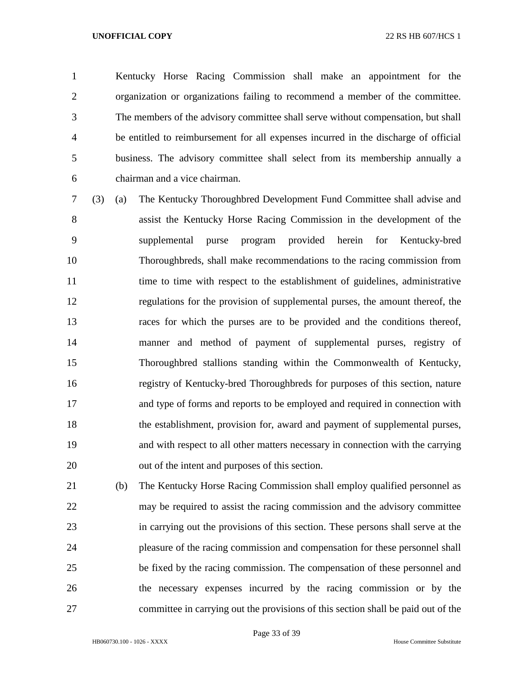Kentucky Horse Racing Commission shall make an appointment for the organization or organizations failing to recommend a member of the committee. The members of the advisory committee shall serve without compensation, but shall be entitled to reimbursement for all expenses incurred in the discharge of official business. The advisory committee shall select from its membership annually a chairman and a vice chairman.

 (3) (a) The Kentucky Thoroughbred Development Fund Committee shall advise and assist the Kentucky Horse Racing Commission in the development of the supplemental purse program provided herein for Kentucky-bred Thoroughbreds, shall make recommendations to the racing commission from 11 time to time with respect to the establishment of guidelines, administrative regulations for the provision of supplemental purses, the amount thereof, the races for which the purses are to be provided and the conditions thereof, manner and method of payment of supplemental purses, registry of Thoroughbred stallions standing within the Commonwealth of Kentucky, registry of Kentucky-bred Thoroughbreds for purposes of this section, nature and type of forms and reports to be employed and required in connection with the establishment, provision for, award and payment of supplemental purses, and with respect to all other matters necessary in connection with the carrying out of the intent and purposes of this section.

 (b) The Kentucky Horse Racing Commission shall employ qualified personnel as may be required to assist the racing commission and the advisory committee in carrying out the provisions of this section. These persons shall serve at the pleasure of the racing commission and compensation for these personnel shall be fixed by the racing commission. The compensation of these personnel and the necessary expenses incurred by the racing commission or by the committee in carrying out the provisions of this section shall be paid out of the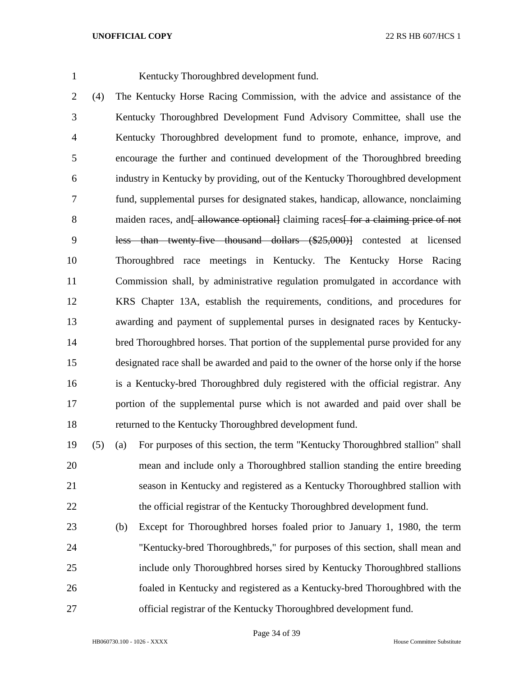Kentucky Thoroughbred development fund.

 (4) The Kentucky Horse Racing Commission, with the advice and assistance of the Kentucky Thoroughbred Development Fund Advisory Committee, shall use the Kentucky Thoroughbred development fund to promote, enhance, improve, and encourage the further and continued development of the Thoroughbred breeding industry in Kentucky by providing, out of the Kentucky Thoroughbred development fund, supplemental purses for designated stakes, handicap, allowance, nonclaiming 8 maiden races, and allowance optionall claiming races for a claiming price of not less than twenty-five thousand dollars (\$25,000)] contested at licensed Thoroughbred race meetings in Kentucky. The Kentucky Horse Racing Commission shall, by administrative regulation promulgated in accordance with KRS Chapter 13A, establish the requirements, conditions, and procedures for awarding and payment of supplemental purses in designated races by Kentucky- bred Thoroughbred horses. That portion of the supplemental purse provided for any designated race shall be awarded and paid to the owner of the horse only if the horse is a Kentucky-bred Thoroughbred duly registered with the official registrar. Any portion of the supplemental purse which is not awarded and paid over shall be returned to the Kentucky Thoroughbred development fund.

- (5) (a) For purposes of this section, the term "Kentucky Thoroughbred stallion" shall mean and include only a Thoroughbred stallion standing the entire breeding season in Kentucky and registered as a Kentucky Thoroughbred stallion with 22 the official registrar of the Kentucky Thoroughbred development fund.
- (b) Except for Thoroughbred horses foaled prior to January 1, 1980, the term "Kentucky-bred Thoroughbreds," for purposes of this section, shall mean and include only Thoroughbred horses sired by Kentucky Thoroughbred stallions foaled in Kentucky and registered as a Kentucky-bred Thoroughbred with the official registrar of the Kentucky Thoroughbred development fund.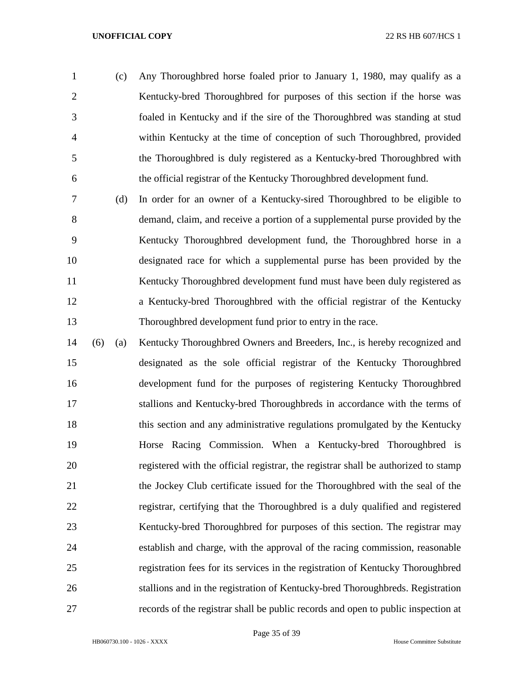- (c) Any Thoroughbred horse foaled prior to January 1, 1980, may qualify as a 2 Kentucky-bred Thoroughbred for purposes of this section if the horse was foaled in Kentucky and if the sire of the Thoroughbred was standing at stud within Kentucky at the time of conception of such Thoroughbred, provided the Thoroughbred is duly registered as a Kentucky-bred Thoroughbred with the official registrar of the Kentucky Thoroughbred development fund.
- (d) In order for an owner of a Kentucky-sired Thoroughbred to be eligible to demand, claim, and receive a portion of a supplemental purse provided by the Kentucky Thoroughbred development fund, the Thoroughbred horse in a designated race for which a supplemental purse has been provided by the Kentucky Thoroughbred development fund must have been duly registered as a Kentucky-bred Thoroughbred with the official registrar of the Kentucky Thoroughbred development fund prior to entry in the race.
- (6) (a) Kentucky Thoroughbred Owners and Breeders, Inc., is hereby recognized and designated as the sole official registrar of the Kentucky Thoroughbred development fund for the purposes of registering Kentucky Thoroughbred stallions and Kentucky-bred Thoroughbreds in accordance with the terms of this section and any administrative regulations promulgated by the Kentucky Horse Racing Commission. When a Kentucky-bred Thoroughbred is registered with the official registrar, the registrar shall be authorized to stamp the Jockey Club certificate issued for the Thoroughbred with the seal of the registrar, certifying that the Thoroughbred is a duly qualified and registered Kentucky-bred Thoroughbred for purposes of this section. The registrar may establish and charge, with the approval of the racing commission, reasonable registration fees for its services in the registration of Kentucky Thoroughbred stallions and in the registration of Kentucky-bred Thoroughbreds. Registration records of the registrar shall be public records and open to public inspection at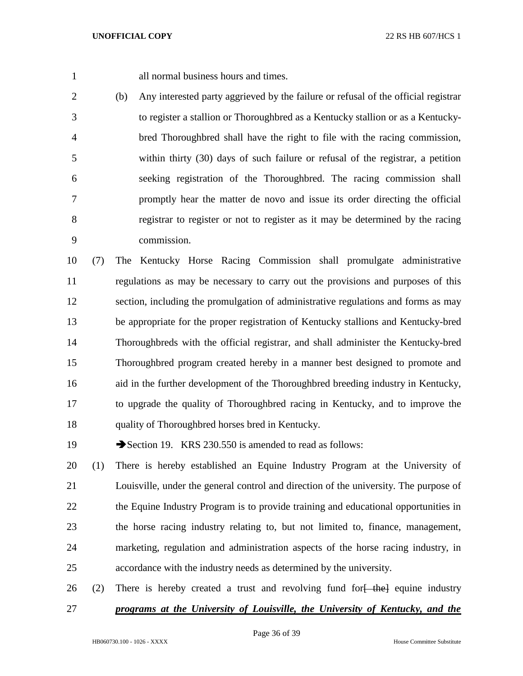all normal business hours and times.

 (b) Any interested party aggrieved by the failure or refusal of the official registrar to register a stallion or Thoroughbred as a Kentucky stallion or as a Kentucky- bred Thoroughbred shall have the right to file with the racing commission, within thirty (30) days of such failure or refusal of the registrar, a petition seeking registration of the Thoroughbred. The racing commission shall promptly hear the matter de novo and issue its order directing the official registrar to register or not to register as it may be determined by the racing commission.

 (7) The Kentucky Horse Racing Commission shall promulgate administrative regulations as may be necessary to carry out the provisions and purposes of this section, including the promulgation of administrative regulations and forms as may be appropriate for the proper registration of Kentucky stallions and Kentucky-bred Thoroughbreds with the official registrar, and shall administer the Kentucky-bred Thoroughbred program created hereby in a manner best designed to promote and aid in the further development of the Thoroughbred breeding industry in Kentucky, to upgrade the quality of Thoroughbred racing in Kentucky, and to improve the quality of Thoroughbred horses bred in Kentucky.

19 Section 19. KRS 230.550 is amended to read as follows:

 (1) There is hereby established an Equine Industry Program at the University of Louisville, under the general control and direction of the university. The purpose of 22 the Equine Industry Program is to provide training and educational opportunities in the horse racing industry relating to, but not limited to, finance, management, marketing, regulation and administration aspects of the horse racing industry, in accordance with the industry needs as determined by the university.

26 (2) There is hereby created a trust and revolving fund for  $\frac{1}{2}$  the equine industry *programs at the University of Louisville, the University of Kentucky, and the*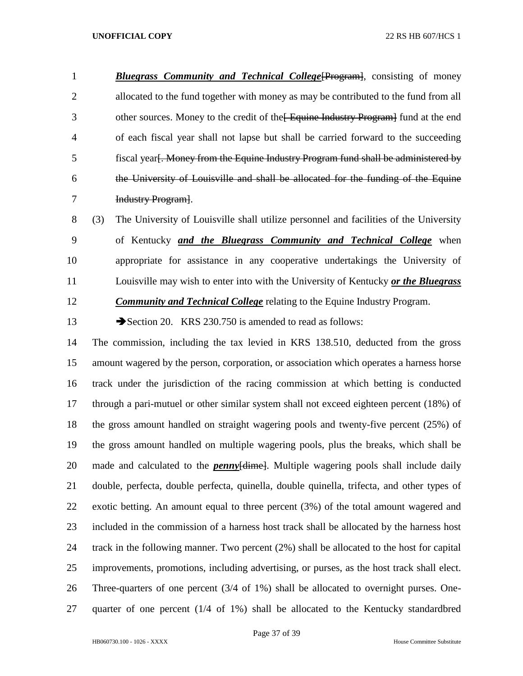*Bluegrass Community and Technical College*[Program], consisting of money allocated to the fund together with money as may be contributed to the fund from all 3 other sources. Money to the credit of the Equine Industry Program fund at the end of each fiscal year shall not lapse but shall be carried forward to the succeeding fiscal year[. Money from the Equine Industry Program fund shall be administered by the University of Louisville and shall be allocated for the funding of the Equine Industry Program].

 (3) The University of Louisville shall utilize personnel and facilities of the University of Kentucky *and the Bluegrass Community and Technical College* when appropriate for assistance in any cooperative undertakings the University of Louisville may wish to enter into with the University of Kentucky *or the Bluegrass Community and Technical College* relating to the Equine Industry Program.

13 Section 20. KRS 230.750 is amended to read as follows:

 The commission, including the tax levied in KRS 138.510, deducted from the gross amount wagered by the person, corporation, or association which operates a harness horse track under the jurisdiction of the racing commission at which betting is conducted through a pari-mutuel or other similar system shall not exceed eighteen percent (18%) of the gross amount handled on straight wagering pools and twenty-five percent (25%) of the gross amount handled on multiple wagering pools, plus the breaks, which shall be 20 made and calculated to the *penny* [dimetal]. Multiple wagering pools shall include daily double, perfecta, double perfecta, quinella, double quinella, trifecta, and other types of exotic betting. An amount equal to three percent (3%) of the total amount wagered and included in the commission of a harness host track shall be allocated by the harness host track in the following manner. Two percent (2%) shall be allocated to the host for capital improvements, promotions, including advertising, or purses, as the host track shall elect. Three-quarters of one percent (3/4 of 1%) shall be allocated to overnight purses. One-quarter of one percent (1/4 of 1%) shall be allocated to the Kentucky standardbred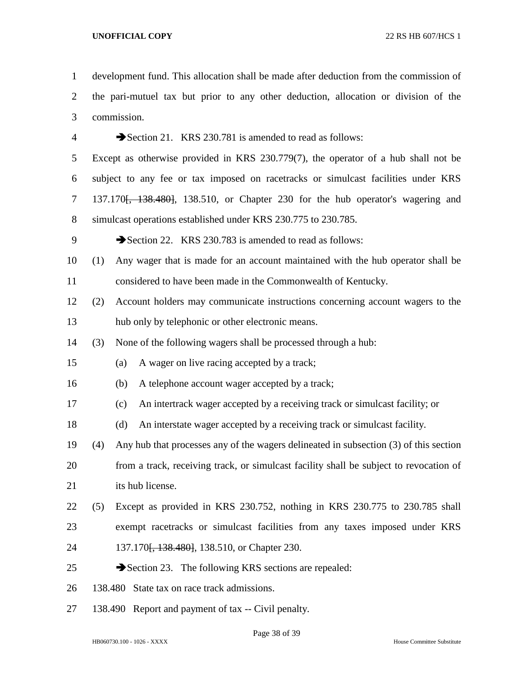development fund. This allocation shall be made after deduction from the commission of the pari-mutuel tax but prior to any other deduction, allocation or division of the commission.

4 Section 21. KRS 230.781 is amended to read as follows: Except as otherwise provided in KRS 230.779(7), the operator of a hub shall not be subject to any fee or tax imposed on racetracks or simulcast facilities under KRS 7 137.170<del>, 138.480</del>, 138.510, or Chapter 230 for the hub operator's wagering and simulcast operations established under KRS 230.775 to 230.785. 9 Section 22. KRS 230.783 is amended to read as follows: (1) Any wager that is made for an account maintained with the hub operator shall be considered to have been made in the Commonwealth of Kentucky. (2) Account holders may communicate instructions concerning account wagers to the hub only by telephonic or other electronic means. (3) None of the following wagers shall be processed through a hub: (a) A wager on live racing accepted by a track; (b) A telephone account wager accepted by a track; (c) An intertrack wager accepted by a receiving track or simulcast facility; or (d) An interstate wager accepted by a receiving track or simulcast facility. (4) Any hub that processes any of the wagers delineated in subsection (3) of this section from a track, receiving track, or simulcast facility shall be subject to revocation of 21 its hub license. (5) Except as provided in KRS 230.752, nothing in KRS 230.775 to 230.785 shall exempt racetracks or simulcast facilities from any taxes imposed under KRS 24 137.170<del>, 138.480]</del>, 138.510, or Chapter 230.  $\rightarrow$  Section 23. The following KRS sections are repealed: 138.480 State tax on race track admissions.

138.490 Report and payment of tax -- Civil penalty.